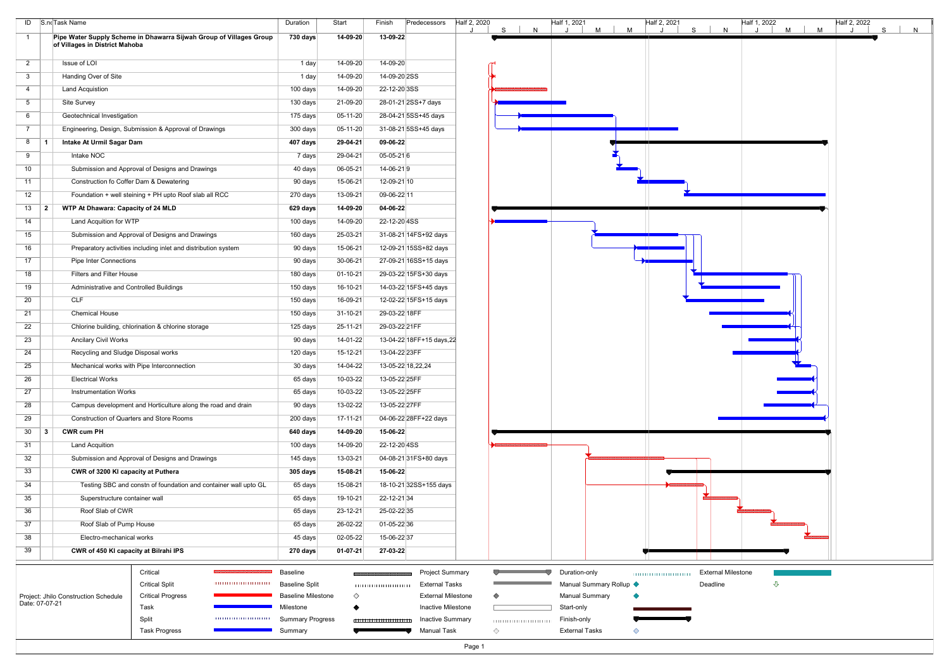|                 |           | ID S.noTask Name                                                                                      | Duration                  | Start      | Finish        | Predecessors              | Half 2, 2020 | S | Half 1, 2021<br>N | M                       | M | Half 2, 2021 | $\mathsf{S}$ | Half 1, 2022<br>N         | M | M | Half 2, 2022 | <sub>S</sub><br>N |  |
|-----------------|-----------|-------------------------------------------------------------------------------------------------------|---------------------------|------------|---------------|---------------------------|--------------|---|-------------------|-------------------------|---|--------------|--------------|---------------------------|---|---|--------------|-------------------|--|
| $\overline{1}$  |           | Pipe Water Supply Scheme in Dhawarra Sijwah Group of Villages Group<br>of Villages in District Mahoba | 730 days                  | 14-09-20   | 13-09-22      |                           |              |   |                   |                         |   |              |              |                           |   |   |              |                   |  |
| $\overline{2}$  |           | Issue of LOI                                                                                          | 1 day                     | 14-09-20   | 14-09-20      |                           |              |   |                   |                         |   |              |              |                           |   |   |              |                   |  |
| $\mathbf{3}$    |           | Handing Over of Site                                                                                  | 1 day                     | 14-09-20   | 14-09-20 2SS  |                           |              |   |                   |                         |   |              |              |                           |   |   |              |                   |  |
| $\overline{4}$  |           | <b>Land Acquistion</b>                                                                                | 100 days                  | 14-09-20   | 22-12-20 3SS  |                           |              |   |                   |                         |   |              |              |                           |   |   |              |                   |  |
| 5 <sup>5</sup>  |           | Site Survey                                                                                           | 130 days                  | 21-09-20   |               | 28-01-21 2SS+7 days       |              |   |                   |                         |   |              |              |                           |   |   |              |                   |  |
| 6               |           | Geotechnical Investigation                                                                            | 175 days                  | 05-11-20   |               | 28-04-21 5SS+45 days      |              |   |                   |                         |   |              |              |                           |   |   |              |                   |  |
| $7\overline{ }$ |           | Engineering, Design, Submission & Approval of Drawings                                                | 300 days                  | $05-11-20$ |               | 31-08-21 5SS+45 days      |              |   |                   |                         |   |              |              |                           |   |   |              |                   |  |
| 8               |           | Intake At Urmil Sagar Dam                                                                             | 407 days                  | 29-04-21   | 09-06-22      |                           |              |   |                   |                         |   |              |              |                           |   |   |              |                   |  |
| 9               |           | Intake NOC                                                                                            | 7 days                    | 29-04-21   | $05-05-216$   |                           |              |   |                   |                         |   |              |              |                           |   |   |              |                   |  |
| 10 <sup>°</sup> |           | Submission and Approval of Designs and Drawings                                                       | 40 days                   | 06-05-21   | 14-06-219     |                           |              |   |                   |                         |   |              |              |                           |   |   |              |                   |  |
| 11              |           | Construction fo Coffer Dam & Dewatering                                                               | 90 days                   | 15-06-21   | 12-09-21 10   |                           |              |   |                   |                         |   |              |              |                           |   |   |              |                   |  |
| 12              |           | Foundation + well steining + PH upto Roof slab all RCC                                                | 270 days                  | 13-09-21   | 09-06-22 11   |                           |              |   |                   |                         |   |              |              |                           |   |   |              |                   |  |
| 13              | -2        | <b>WTP At Dhawara: Capacity of 24 MLD</b>                                                             | 629 days                  | 14-09-20   | 04-06-22      |                           |              |   |                   |                         |   |              |              |                           |   |   |              |                   |  |
| 14              |           | Land Acquition for WTP                                                                                | 100 days                  | 14-09-20   | 22-12-20 4SS  |                           |              |   |                   |                         |   |              |              |                           |   |   |              |                   |  |
| 15              |           | Submission and Approval of Designs and Drawings                                                       | 160 days                  | 25-03-21   |               | 31-08-21 14FS+92 days     |              |   |                   |                         |   |              |              |                           |   |   |              |                   |  |
| 16              |           | Preparatory activities including inlet and distribution system                                        | 90 days                   | 15-06-21   |               | 12-09-21 15SS+82 days     |              |   |                   |                         |   |              |              |                           |   |   |              |                   |  |
| 17              |           | <b>Pipe Inter Connections</b>                                                                         | 90 days                   | 30-06-21   |               | 27-09-21 16SS+15 days     |              |   |                   |                         |   |              |              |                           |   |   |              |                   |  |
| 18              |           | <b>Filters and Filter House</b>                                                                       | 180 days                  | 01-10-21   |               | 29-03-22 15FS+30 days     |              |   |                   |                         |   |              |              |                           |   |   |              |                   |  |
| 19              |           | Administrative and Controlled Buildings                                                               | 150 days                  | 16-10-21   |               | 14-03-22 15FS+45 days     |              |   |                   |                         |   |              |              |                           |   |   |              |                   |  |
| 20              |           | <b>CLF</b>                                                                                            | 150 days                  | 16-09-21   |               | 12-02-22 15FS+15 days     |              |   |                   |                         |   |              |              |                           |   |   |              |                   |  |
| 21              |           | <b>Chemical House</b>                                                                                 | 150 days                  | 31-10-21   | 29-03-22 18FF |                           |              |   |                   |                         |   |              |              |                           |   |   |              |                   |  |
| 22              |           | Chlorine building, chlorination & chlorine storage                                                    | 125 days                  | 25-11-21   | 29-03-22 21FF |                           |              |   |                   |                         |   |              |              |                           |   |   |              |                   |  |
| 23              |           | <b>Ancilary Civil Works</b>                                                                           | 90 days                   | 14-01-22   |               | 13-04-22 18FF+15 days, 22 |              |   |                   |                         |   |              |              |                           |   |   |              |                   |  |
| 24              |           | Recycling and Sludge Disposal works                                                                   | 120 days                  | 15-12-21   | 13-04-22 23FF |                           |              |   |                   |                         |   |              |              |                           |   |   |              |                   |  |
| 25              |           | Mechanical works with Pipe Interconnection                                                            | 30 days                   | 14-04-22   |               | 13-05-22 18,22,24         |              |   |                   |                         |   |              |              |                           |   |   |              |                   |  |
| 26              |           | <b>Electrical Works</b>                                                                               | 65 days                   | 10-03-22   | 13-05-22 25FF |                           |              |   |                   |                         |   |              |              |                           |   |   |              |                   |  |
| 27              |           | <b>Instrumentation Works</b>                                                                          | 65 days                   | 10-03-22   | 13-05-22 25FF |                           |              |   |                   |                         |   |              |              |                           |   |   |              |                   |  |
| 28              |           | Campus development and Horticulture along the road and drain                                          | 90 days                   | 13-02-22   | 13-05-22 27FF |                           |              |   |                   |                         |   |              |              |                           |   |   |              |                   |  |
| 29              |           | Construction of Quarters and Store Rooms                                                              | 200 days                  | 17-11-21   |               | 04-06-22 28FF+22 days     |              |   |                   |                         |   |              |              |                           |   |   |              |                   |  |
| 30              | $\vert$ 3 | <b>CWR cum PH</b>                                                                                     | 640 days                  | 14-09-20   | 15-06-22      |                           |              |   |                   |                         |   |              |              |                           |   |   |              |                   |  |
| 31              |           | <b>Land Acquition</b>                                                                                 | 100 days                  | 14-09-20   | 22-12-20 4SS  |                           |              |   |                   |                         |   |              |              |                           |   |   |              |                   |  |
| 32              |           | Submission and Approval of Designs and Drawings                                                       | 145 days                  | 13-03-21   |               | 04-08-21 31 FS+80 days    |              |   |                   |                         |   |              |              |                           |   |   |              |                   |  |
| 33              |           | CWR of 3200 KI capacity at Puthera                                                                    | 305 days                  | 15-08-21   | 15-06-22      |                           |              |   |                   |                         |   |              |              |                           |   |   |              |                   |  |
| 34              |           | Testing SBC and constn of foundation and container wall upto GL                                       | 65 days                   | 15-08-21   |               | 18-10-21 32SS+155 days    |              |   |                   |                         |   |              |              |                           |   |   |              |                   |  |
| 35              |           | Superstructure container wall                                                                         | 65 days                   | 19-10-21   | 22-12-21 34   |                           |              |   |                   |                         |   |              |              |                           |   |   |              |                   |  |
| 36              |           | Roof Slab of CWR                                                                                      | 65 days                   | 23-12-21   | 25-02-22 35   |                           |              |   |                   |                         |   |              |              |                           |   |   |              |                   |  |
| 37              |           | Roof Slab of Pump House                                                                               | 65 days                   | 26-02-22   | 01-05-2236    |                           |              |   |                   |                         |   |              |              |                           |   |   |              |                   |  |
| 38              |           | Electro-mechanical works                                                                              | 45 days                   | 02-05-22   | 15-06-22 37   |                           |              |   |                   |                         |   |              |              |                           |   |   |              |                   |  |
| 39              |           | CWR of 450 KI capacity at Bilrahi IPS                                                                 | 270 days                  | $01-07-21$ | 27-03-22      |                           |              |   |                   |                         |   |              |              |                           |   |   |              |                   |  |
|                 |           | Critical                                                                                              | Baseline                  |            |               | <b>Project Summary</b>    |              |   |                   | Duration-only           |   |              |              | <b>External Milestone</b> |   |   |              |                   |  |
|                 |           | <b>Critical Split</b>                                                                                 | <b>Baseline Split</b>     |            |               | External Tasks            |              |   |                   | Manual Summary Rollup ♦ |   |              | Deadline     |                           | ⇩ |   |              |                   |  |
|                 |           | <b>Critical Progress</b><br>Project: Jhilo Construction Schedule                                      | <b>Baseline Milestone</b> | ◇          |               | <b>External Milestone</b> |              | ◇ |                   | <b>Manual Summary</b>   |   |              |              |                           |   |   |              |                   |  |
| Date: 07-07-21  |           | Task                                                                                                  | Milestone                 |            |               | Inactive Milestone        |              |   |                   | Start-only              |   |              |              |                           |   |   |              |                   |  |
|                 |           | Split                                                                                                 | <b>Summary Progress</b>   |            |               | <b>Inactive Summary</b>   |              |   |                   | Finish-only             |   |              |              |                           |   |   |              |                   |  |
|                 |           | <b>Task Progress</b>                                                                                  | Summary                   |            |               | <b>Manual Task</b>        |              | ◇ |                   | <b>External Tasks</b>   | ◇ |              |              |                           |   |   |              |                   |  |
|                 |           |                                                                                                       |                           |            |               |                           | Page 1       |   |                   |                         |   |              |              |                           |   |   |              |                   |  |

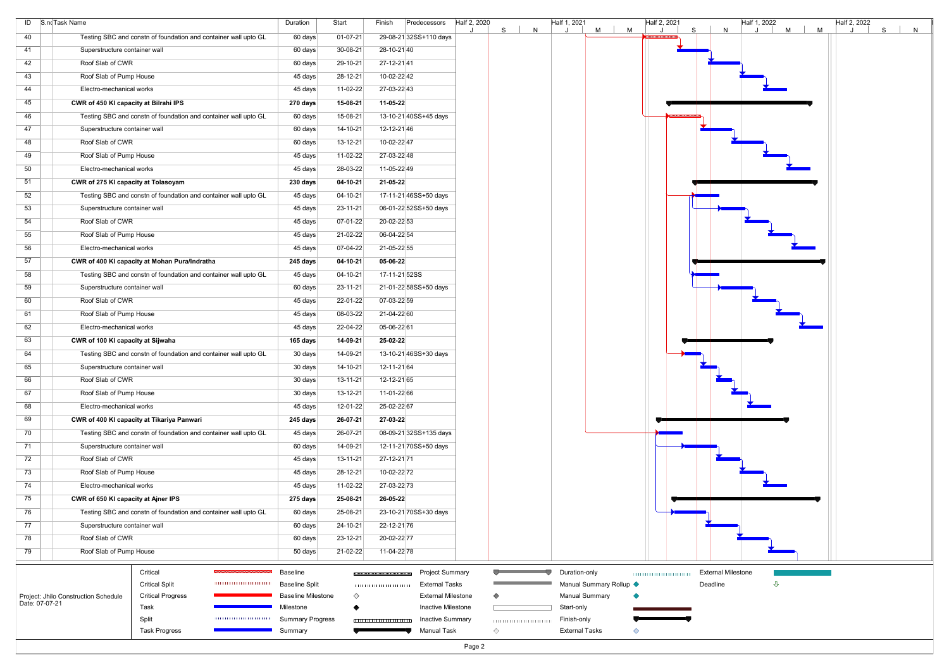|                | ID S.noTask Name                      |                                                                 | Duration                  | Start          | Finish<br>Predecessors     | Half 2, 2020 | N<br>S | Half 1, 2021<br><b>M</b> | M | Half 2, 2021<br>$\mathsf{S}$ | N                         | Half 1, 2022<br>$M$ | M | Half 2, 2022 | S<br>N |
|----------------|---------------------------------------|-----------------------------------------------------------------|---------------------------|----------------|----------------------------|--------------|--------|--------------------------|---|------------------------------|---------------------------|---------------------|---|--------------|--------|
| 40             |                                       | Testing SBC and constn of foundation and container wall upto GL | 60 days                   | $01-07-21$     | 29-08-21 32SS+110 days     |              |        |                          |   |                              |                           |                     |   |              |        |
| 41             | Superstructure container wall         |                                                                 | 60 days                   | 30-08-21       | 28-10-2140                 |              |        |                          |   |                              |                           |                     |   |              |        |
| 42             | Roof Slab of CWR                      |                                                                 | 60 days                   | 29-10-21       | 27-12-2141                 |              |        |                          |   |                              |                           |                     |   |              |        |
| 43             | Roof Slab of Pump House               |                                                                 | 45 days                   | 28-12-21       | 10-02-22 42                |              |        |                          |   |                              |                           |                     |   |              |        |
| 44             | Electro-mechanical works              |                                                                 | 45 days                   | $11-02-22$     | 27-03-22 43                |              |        |                          |   |                              |                           |                     |   |              |        |
| 45             | CWR of 450 KI capacity at Bilrahi IPS |                                                                 | 270 days                  | 15-08-21       | 11-05-22                   |              |        |                          |   |                              |                           |                     |   |              |        |
| 46             |                                       | Testing SBC and constn of foundation and container wall upto GL | 60 days                   | 15-08-21       | 13-10-21 40SS+45 days      |              |        |                          |   |                              |                           |                     |   |              |        |
| 47             | Superstructure container wall         |                                                                 | 60 days                   | $14 - 10 - 21$ | 12-12-2146                 |              |        |                          |   |                              |                           |                     |   |              |        |
| 48             | Roof Slab of CWR                      |                                                                 | 60 days                   | $13 - 12 - 21$ | 10-02-22 47                |              |        |                          |   |                              |                           |                     |   |              |        |
| 49             | Roof Slab of Pump House               |                                                                 | 45 days                   | 11-02-22       | 27-03-22 48                |              |        |                          |   |                              |                           |                     |   |              |        |
| 50             | Electro-mechanical works              |                                                                 | 45 days                   | 28-03-22       | 11-05-22 49                |              |        |                          |   |                              |                           |                     |   |              |        |
| 51             | CWR of 275 KI capacity at Tolasoyam   |                                                                 | 230 days                  | $04-10-21$     | 21-05-22                   |              |        |                          |   |                              |                           |                     |   |              |        |
| 52             |                                       | Testing SBC and constn of foundation and container wall upto GL | 45 days                   | 04-10-21       | 17-11-21 46SS+50 days      |              |        |                          |   |                              |                           |                     |   |              |        |
| 53             | Superstructure container wall         |                                                                 | 45 days                   | 23-11-21       | 06-01-22 52SS+50 days      |              |        |                          |   |                              |                           |                     |   |              |        |
| 54             | Roof Slab of CWR                      |                                                                 | 45 days                   | $07-01-22$     | 20-02-22 53                |              |        |                          |   |                              |                           |                     |   |              |        |
| 55             | Roof Slab of Pump House               |                                                                 | 45 days                   | 21-02-22       | 06-04-22 54                |              |        |                          |   |                              |                           |                     |   |              |        |
| 56             | Electro-mechanical works              |                                                                 | 45 days                   | 07-04-22       | 21-05-22 55                |              |        |                          |   |                              |                           |                     |   |              |        |
| 57             |                                       | CWR of 400 KI capacity at Mohan Pura/Indratha                   | 245 days                  | $04-10-21$     | 05-06-22                   |              |        |                          |   |                              |                           |                     |   |              |        |
| 58             |                                       | Testing SBC and constn of foundation and container wall upto GL | 45 days                   | 04-10-21       | 17-11-21 52SS              |              |        |                          |   |                              |                           |                     |   |              |        |
| 59             | Superstructure container wall         |                                                                 | 60 days                   | 23-11-21       | 21-01-22 58SS+50 days      |              |        |                          |   |                              |                           |                     |   |              |        |
|                | Roof Slab of CWR                      |                                                                 |                           | 22-01-22       |                            |              |        |                          |   |                              |                           |                     |   |              |        |
| 60<br>61       | Roof Slab of Pump House               |                                                                 | 45 days                   | 08-03-22       | 07-03-22 59<br>21-04-22 60 |              |        |                          |   |                              |                           |                     |   |              |        |
|                |                                       |                                                                 | 45 days                   |                |                            |              |        |                          |   |                              |                           |                     |   |              |        |
| 62             | Electro-mechanical works              |                                                                 | 45 days                   | 22-04-22       | 05-06-22 61                |              |        |                          |   |                              |                           |                     |   |              |        |
| 63             | CWR of 100 KI capacity at Sijwaha     |                                                                 | 165 days                  | 14-09-21       | 25-02-22                   |              |        |                          |   |                              |                           |                     |   |              |        |
| 64             |                                       | Testing SBC and constn of foundation and container wall upto GL | 30 days                   | 14-09-21       | 13-10-21 46SS+30 days      |              |        |                          |   |                              |                           |                     |   |              |        |
| 65             | Superstructure container wall         |                                                                 | 30 days                   | 14-10-21       | 12-11-21 64                |              |        |                          |   |                              |                           |                     |   |              |        |
| 66             | Roof Slab of CWR                      |                                                                 | 30 days                   | $13 - 11 - 21$ | 12-12-21 65                |              |        |                          |   |                              |                           |                     |   |              |        |
| 67             | Roof Slab of Pump House               |                                                                 | 30 days                   | $13 - 12 - 21$ | 11-01-22 66                |              |        |                          |   |                              |                           |                     |   |              |        |
| 68             | Electro-mechanical works              |                                                                 | 45 days                   | 12-01-22       | 25-02-22 67                |              |        |                          |   |                              |                           |                     |   |              |        |
| 69             |                                       | CWR of 400 KI capacity at Tikariya Panwari                      | 245 days                  | 26-07-21       | 27-03-22                   |              |        |                          |   |                              |                           |                     |   |              |        |
| 70             |                                       | Testing SBC and constn of foundation and container wall upto GL | 45 days                   | 26-07-21       | 08-09-21 32SS+135 days     |              |        |                          |   |                              |                           |                     |   |              |        |
| 71             | Superstructure container wall         |                                                                 | 60 days                   | 14-09-21       | 12-11-21 70SS+50 days      |              |        |                          |   |                              |                           |                     |   |              |        |
| 72             | Roof Slab of CWR                      |                                                                 | 45 days                   | $13 - 11 - 21$ | 27-12-21 71                |              |        |                          |   |                              |                           |                     |   |              |        |
| 73             | Roof Slab of Pump House               |                                                                 | 45 days                   | 28-12-21       | 10-02-22 72                |              |        |                          |   |                              |                           |                     |   |              |        |
| 74             | Electro-mechanical works              |                                                                 | 45 days                   | 11-02-22       | 27-03-22 73                |              |        |                          |   |                              |                           |                     |   |              |        |
| 75             | CWR of 650 KI capacity at Ajner IPS   |                                                                 | 275 days                  | 25-08-21       | 26-05-22                   |              |        |                          |   |                              |                           |                     |   |              |        |
| 76             |                                       | Testing SBC and constn of foundation and container wall upto GL | 60 days                   | 25-08-21       | 23-10-21 70SS+30 days      |              |        |                          |   |                              |                           |                     |   |              |        |
| 77             | Superstructure container wall         |                                                                 | 60 days                   | 24-10-21       | 22-12-21 76                |              |        |                          |   |                              |                           |                     |   |              |        |
| 78             | Roof Slab of CWR                      |                                                                 | 60 days                   | 23-12-21       | 20-02-22 77                |              |        |                          |   |                              |                           |                     |   |              |        |
| 79             | Roof Slab of Pump House               |                                                                 | 50 days                   | 21-02-22       | 11-04-22 78                |              |        |                          |   |                              |                           |                     |   |              |        |
|                |                                       | Critical                                                        | Baseline                  |                | <b>Project Summary</b>     |              |        | Duration-only            |   |                              | <b>External Milestone</b> |                     |   |              |        |
|                |                                       | <b>Critical Split</b>                                           | <b>Baseline Split</b>     |                | External Tasks             |              |        | Manual Summary Rollup <  |   |                              | Deadline                  | ⇩                   |   |              |        |
|                | Project: Jhilo Construction Schedule  | <b>Critical Progress</b>                                        | <b>Baseline Milestone</b> | ♦              | <b>External Milestone</b>  |              |        | <b>Manual Summary</b>    |   |                              |                           |                     |   |              |        |
| Date: 07-07-21 |                                       | Task                                                            | Milestone                 |                | Inactive Milestone         |              |        | Start-only               |   |                              |                           |                     |   |              |        |
|                |                                       | Split                                                           | <b>Summary Progress</b>   |                | <b>Inactive Summary</b>    |              |        | Finish-only              |   |                              |                           |                     |   |              |        |
|                |                                       | <b>Task Progress</b>                                            | Summary                   |                | Manual Task                |              | ◇      | <b>External Tasks</b>    |   |                              |                           |                     |   |              |        |
|                |                                       |                                                                 |                           |                |                            | Page 2       |        |                          |   |                              |                           |                     |   |              |        |

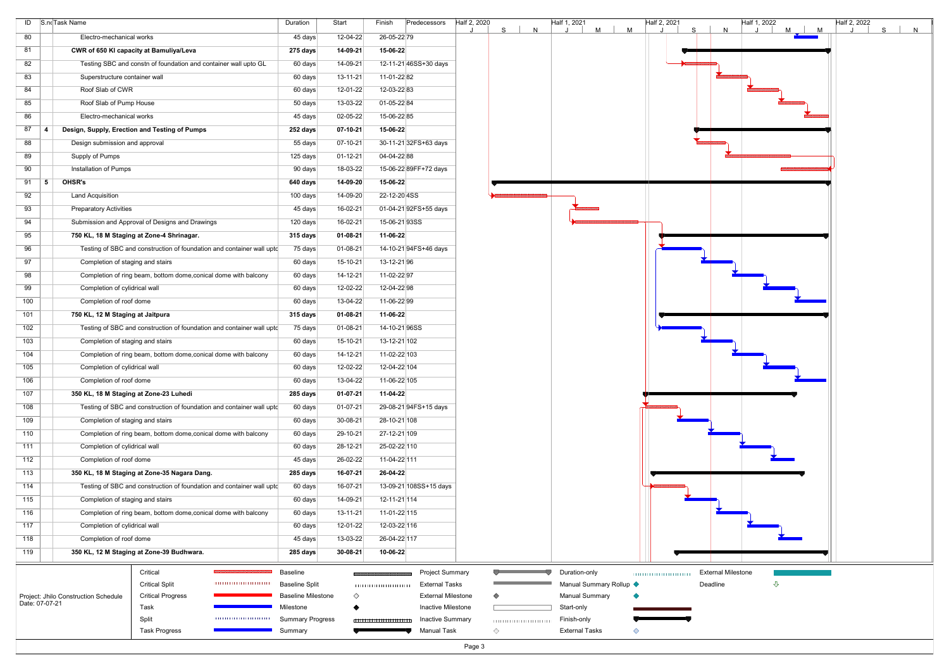|     | ID S.no Task Name                    |                                                                       |                            | Duration                          | Start          | Predecessors<br>Finish    |                                          | Half 2, 2020<br>S | N                         | Half 1, 2021          | M<br>M                  | Half 2, 2021 | S.<br>N                               | Half 1, 2022 | $M$   $M$ | Half 2, 2022 | $\mathsf{S}$<br>N |  |
|-----|--------------------------------------|-----------------------------------------------------------------------|----------------------------|-----------------------------------|----------------|---------------------------|------------------------------------------|-------------------|---------------------------|-----------------------|-------------------------|--------------|---------------------------------------|--------------|-----------|--------------|-------------------|--|
| 80  | Electro-mechanical works             |                                                                       |                            | 45 days                           | 12-04-22       | 26-05-22 79               |                                          |                   |                           |                       |                         |              |                                       |              |           |              |                   |  |
| 81  |                                      | CWR of 650 KI capacity at Bamuliya/Leva                               |                            | 275 days                          | 14-09-21       | 15-06-22                  |                                          |                   |                           |                       |                         |              |                                       |              |           |              |                   |  |
| 82  |                                      | Testing SBC and constn of foundation and container wall upto GL       |                            | 60 days                           | 14-09-21       | 12-11-21 46SS+30 days     |                                          |                   |                           |                       |                         |              |                                       |              |           |              |                   |  |
| 83  | Superstructure container wall        |                                                                       |                            | 60 days                           | $13 - 11 - 21$ | 11-01-2282                |                                          |                   |                           |                       |                         |              |                                       |              |           |              |                   |  |
| 84  | Roof Slab of CWR                     |                                                                       |                            | 60 days                           | 12-01-22       | 12-03-22 83               |                                          |                   |                           |                       |                         |              |                                       |              |           |              |                   |  |
| 85  | Roof Slab of Pump House              |                                                                       |                            | 50 days                           | 13-03-22       | 01-05-22 84               |                                          |                   |                           |                       |                         |              |                                       |              |           |              |                   |  |
| 86  | Electro-mechanical works             |                                                                       |                            | 45 days                           | 02-05-22       | 15-06-2285                |                                          |                   |                           |                       |                         |              |                                       |              |           |              |                   |  |
| 87  |                                      | Design, Supply, Erection and Testing of Pumps                         |                            | 252 days                          | $07 - 10 - 21$ | 15-06-22                  |                                          |                   |                           |                       |                         |              |                                       |              |           |              |                   |  |
| 88  | Design submission and approval       |                                                                       |                            | 55 days                           | $07 - 10 - 21$ | 30-11-21 32FS+63 days     |                                          |                   |                           |                       |                         |              |                                       |              |           |              |                   |  |
| 89  | Supply of Pumps                      |                                                                       |                            | 125 days                          | $01 - 12 - 21$ | 04-04-22 88               |                                          |                   |                           |                       |                         |              |                                       |              |           |              |                   |  |
| 90  | Installation of Pumps                |                                                                       |                            | 90 days                           | 18-03-22       | 15-06-22 89FF+72 days     |                                          |                   |                           |                       |                         |              |                                       |              |           |              |                   |  |
| 91  | OHSR's<br>∣5                         |                                                                       |                            | 640 days                          | 14-09-20       | 15-06-22                  |                                          |                   |                           |                       |                         |              |                                       |              |           |              |                   |  |
| 92  | <b>Land Acquisition</b>              |                                                                       |                            | 100 days                          | 14-09-20       | 22-12-20 4SS              |                                          |                   |                           |                       |                         |              |                                       |              |           |              |                   |  |
| 93  | <b>Preparatory Activities</b>        |                                                                       |                            | 45 days                           | 16-02-21       | 01-04-21 92FS+55 days     |                                          |                   |                           |                       |                         |              |                                       |              |           |              |                   |  |
| 94  |                                      | Submission and Approval of Designs and Drawings                       |                            | 120 days                          | 16-02-21       | 15-06-2193SS              |                                          |                   |                           |                       |                         |              |                                       |              |           |              |                   |  |
| 95  |                                      | 750 KL, 18 M Staging at Zone-4 Shrinagar.                             |                            | 315 days                          | $01 - 08 - 21$ | 11-06-22                  |                                          |                   |                           |                       |                         |              |                                       |              |           |              |                   |  |
| 96  |                                      | Testing of SBC and construction of foundation and container wall upto |                            | 75 days                           | 01-08-21       | 14-10-21 94FS+46 days     |                                          |                   |                           |                       |                         |              |                                       |              |           |              |                   |  |
| 97  | Completion of staging and stairs     |                                                                       |                            | 60 days                           | 15-10-21       | 13-12-2196                |                                          |                   |                           |                       |                         |              |                                       |              |           |              |                   |  |
| 98  |                                      | Completion of ring beam, bottom dome, conical dome with balcony       |                            | 60 days                           | 14-12-21       | 11-02-2297                |                                          |                   |                           |                       |                         |              |                                       |              |           |              |                   |  |
| 99  | Completion of cylidrical wall        |                                                                       |                            | 60 days                           | 12-02-22       | 12-04-22 98               |                                          |                   |                           |                       |                         |              |                                       |              |           |              |                   |  |
| 100 | Completion of roof dome              |                                                                       |                            | 60 days                           | 13-04-22       | 11-06-2299                |                                          |                   |                           |                       |                         |              |                                       |              |           |              |                   |  |
| 101 | 750 KL, 12 M Staging at Jaitpura     |                                                                       |                            | 315 days                          | $01 - 08 - 21$ | 11-06-22                  |                                          |                   |                           |                       |                         |              |                                       |              |           |              |                   |  |
| 102 |                                      | Testing of SBC and construction of foundation and container wall upto |                            | 75 days                           | $01 - 08 - 21$ | 14-10-2196SS              |                                          |                   |                           |                       |                         |              |                                       |              |           |              |                   |  |
| 103 | Completion of staging and stairs     |                                                                       |                            | 60 days                           | 15-10-21       | 13-12-21 102              |                                          |                   |                           |                       |                         |              |                                       |              |           |              |                   |  |
| 104 |                                      | Completion of ring beam, bottom dome, conical dome with balcony       |                            | 60 days                           | $14 - 12 - 21$ | 11-02-22 103              |                                          |                   |                           |                       |                         |              |                                       |              |           |              |                   |  |
| 105 | Completion of cylidrical wall        |                                                                       |                            | 60 days                           | 12-02-22       | 12-04-22 104              |                                          |                   |                           |                       |                         |              |                                       |              |           |              |                   |  |
| 106 | Completion of roof dome              |                                                                       |                            | 60 days                           | 13-04-22       | 11-06-22 105              |                                          |                   |                           |                       |                         |              |                                       |              |           |              |                   |  |
| 107 |                                      | 350 KL, 18 M Staging at Zone-23 Luhedi                                |                            | 285 days                          | $01 - 07 - 21$ | 11-04-22                  |                                          |                   |                           |                       |                         |              |                                       |              |           |              |                   |  |
| 108 |                                      | Testing of SBC and construction of foundation and container wall upto |                            | 60 days                           | 01-07-21       | 29-08-21 94FS+15 days     |                                          |                   |                           |                       |                         |              |                                       |              |           |              |                   |  |
| 109 | Completion of staging and stairs     |                                                                       |                            | 60 days                           | 30-08-21       | 28-10-21 108              |                                          |                   |                           |                       |                         |              |                                       |              |           |              |                   |  |
| 110 |                                      | Completion of ring beam, bottom dome, conical dome with balcony       |                            | 60 days                           | 29-10-21       | 27-12-21 109              |                                          |                   |                           |                       |                         |              |                                       |              |           |              |                   |  |
| 111 | Completion of cylidrical wall        |                                                                       |                            | 60 days                           | $28 - 12 - 21$ | 25-02-22 110              |                                          |                   |                           |                       |                         |              |                                       |              |           |              |                   |  |
| 112 | Completion of roof dome              |                                                                       |                            | 45 days                           | 26-02-22       | 11-04-22 111              |                                          |                   |                           |                       |                         |              |                                       |              |           |              |                   |  |
| 113 |                                      | 350 KL, 18 M Staging at Zone-35 Nagara Dang.                          |                            | 285 days                          | 16-07-21       | 26-04-22                  |                                          |                   |                           |                       |                         |              |                                       |              |           |              |                   |  |
| 114 |                                      | Testing of SBC and construction of foundation and container wall upto |                            | 60 days                           | 16-07-21       | 13-09-21 108SS+15 days    |                                          |                   |                           |                       |                         |              |                                       |              |           |              |                   |  |
| 115 | Completion of staging and stairs     |                                                                       |                            | 60 days                           | 14-09-21       | 12-11-21 114              |                                          |                   |                           |                       |                         |              |                                       |              |           |              |                   |  |
| 116 |                                      | Completion of ring beam, bottom dome, conical dome with balcony       |                            | 60 days                           | $13 - 11 - 21$ | 11-01-22 115              |                                          |                   |                           |                       |                         |              |                                       |              |           |              |                   |  |
| 117 | Completion of cylidrical wall        |                                                                       |                            | 60 days                           | 12-01-22       | 12-03-22 116              |                                          |                   |                           |                       |                         |              |                                       |              |           |              |                   |  |
| 118 | Completion of roof dome              |                                                                       |                            | 45 days                           | 13-03-22       | 26-04-22 117              |                                          |                   |                           |                       |                         |              |                                       |              |           |              |                   |  |
| 119 |                                      | 350 KL, 12 M Staging at Zone-39 Budhwara.                             |                            | 285 days                          | $30 - 08 - 21$ | 10-06-22                  |                                          |                   |                           |                       |                         |              |                                       |              |           |              |                   |  |
|     |                                      |                                                                       |                            |                                   |                |                           |                                          |                   |                           |                       |                         |              |                                       |              |           |              |                   |  |
|     |                                      | Critical<br><b>Critical Split</b>                                     | ,,,,,,,,,,,,,,,,,,,,,,,,,, | Baseline<br><b>Baseline Split</b> |                |                           | <b>Project Summary</b><br>External Tasks |                   |                           | Duration-only         | Manual Summary Rollup < |              | <b>External Milestone</b><br>Deadline | ⇩            |           |              |                   |  |
|     | Project: Jhilo Construction Schedule | <b>Critical Progress</b>                                              |                            | <b>Baseline Milestone</b>         | ♦              |                           | <b>External Milestone</b>                |                   |                           | <b>Manual Summary</b> |                         |              |                                       |              |           |              |                   |  |
|     | Date: 07-07-21                       | Task                                                                  |                            | Milestone                         |                |                           | Inactive Milestone                       |                   |                           | Start-only            |                         |              |                                       |              |           |              |                   |  |
|     |                                      | Split                                                                 |                            | <b>Summary Progress</b>           |                | 1111111111111111111111111 | <b>Inactive Summary</b>                  |                   | 1111111111111111111111111 | Finish-only           |                         |              |                                       |              |           |              |                   |  |
|     |                                      | <b>Task Progress</b>                                                  |                            | Summary                           |                |                           | Manual Task                              | ◇                 |                           | <b>External Tasks</b> | ◇                       |              |                                       |              |           |              |                   |  |
|     |                                      |                                                                       |                            |                                   |                |                           |                                          | Page 3            |                           |                       |                         |              |                                       |              |           |              |                   |  |

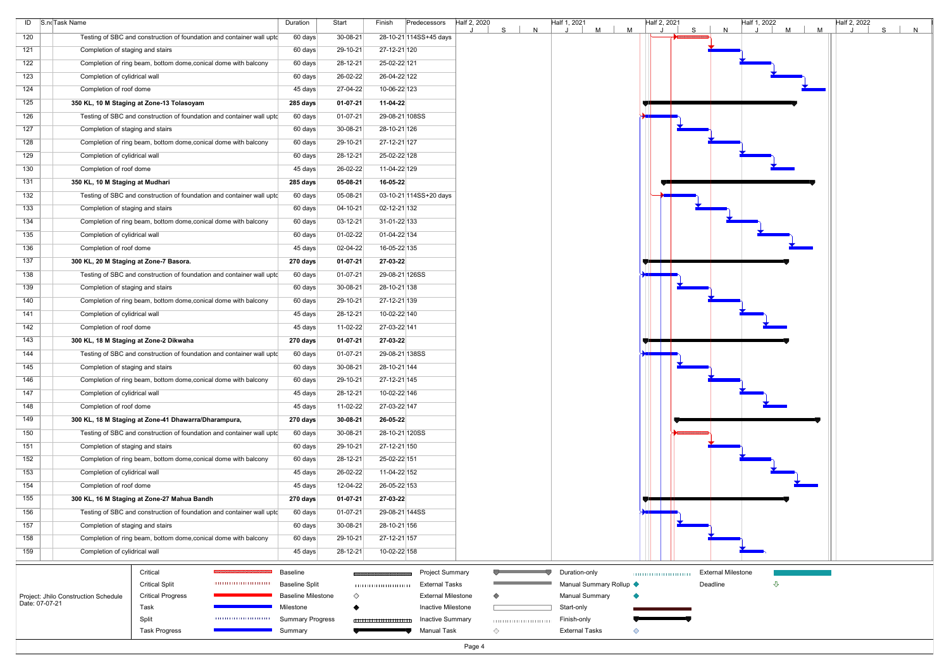| ID             | S.noTask Name                                                            | Duration                               | Start          | Finish<br>Predecessors |                                                 | Half 2, 2020 |   |              | Half 1, 2021                        |   |   | Half 2, 2021 |   |       |
|----------------|--------------------------------------------------------------------------|----------------------------------------|----------------|------------------------|-------------------------------------------------|--------------|---|--------------|-------------------------------------|---|---|--------------|---|-------|
| 120            | Testing of SBC and construction of foundation and container wall upto    | 60 days                                | 30-08-21       | 28-10-21 114SS+45 days |                                                 |              | S | $\mathsf{N}$ |                                     | M | M |              | S |       |
| 121            | Completion of staging and stairs                                         | 60 days                                | 29-10-21       | 27-12-21 120           |                                                 |              |   |              |                                     |   |   |              |   |       |
| 122            | Completion of ring beam, bottom dome, conical dome with balcony          | 60 days                                | 28-12-21       | 25-02-22 121           |                                                 |              |   |              |                                     |   |   |              |   |       |
| 123            | Completion of cylidrical wall                                            | 60 days                                | 26-02-22       | 26-04-22 122           |                                                 |              |   |              |                                     |   |   |              |   |       |
| 124            | Completion of roof dome                                                  | 45 days                                | 27-04-22       | 10-06-22 123           |                                                 |              |   |              |                                     |   |   |              |   |       |
| 125            | 350 KL, 10 M Staging at Zone-13 Tolasoyam                                | 285 days                               | 01-07-21       | 11-04-22               |                                                 |              |   |              |                                     |   |   |              |   |       |
| 126            | Testing of SBC and construction of foundation and container wall upto    | 60 days                                | 01-07-21       | 29-08-21 108SS         |                                                 |              |   |              |                                     |   |   |              |   |       |
| 127            | Completion of staging and stairs                                         | 60 days                                | 30-08-21       | 28-10-21 126           |                                                 |              |   |              |                                     |   |   |              |   |       |
| 128            | Completion of ring beam, bottom dome, conical dome with balcony          | 60 days                                | 29-10-21       | 27-12-21 127           |                                                 |              |   |              |                                     |   |   |              |   |       |
| 129            | Completion of cylidrical wall                                            | 60 days                                | 28-12-21       | 25-02-22 128           |                                                 |              |   |              |                                     |   |   |              |   |       |
| 130            | Completion of roof dome                                                  | 45 days                                | 26-02-22       | 11-04-22 129           |                                                 |              |   |              |                                     |   |   |              |   |       |
| 131            | 350 KL, 10 M Staging at Mudhari                                          | 285 days                               | 05-08-21       | 16-05-22               |                                                 |              |   |              |                                     |   |   |              |   |       |
| 132            | Testing of SBC and construction of foundation and container wall upto    | 60 days                                | 05-08-21       | 03-10-21 114SS+20 days |                                                 |              |   |              |                                     |   |   |              |   |       |
| 133            | Completion of staging and stairs                                         | 60 days                                | 04-10-21       | 02-12-21 132           |                                                 |              |   |              |                                     |   |   |              |   |       |
| 134            | Completion of ring beam, bottom dome, conical dome with balcony          | 60 days                                | 03-12-21       | 31-01-22 133           |                                                 |              |   |              |                                     |   |   |              |   |       |
| 135            | Completion of cylidrical wall                                            | 60 days                                | $01-02-22$     | 01-04-22 134           |                                                 |              |   |              |                                     |   |   |              |   |       |
| 136            | Completion of roof dome                                                  | 45 days                                | $02 - 04 - 22$ | 16-05-22 135           |                                                 |              |   |              |                                     |   |   |              |   |       |
| 137            |                                                                          |                                        |                |                        |                                                 |              |   |              |                                     |   |   |              |   |       |
|                | 300 KL, 20 M Staging at Zone-7 Basora.                                   | 270 days                               | 01-07-21       | 27-03-22               |                                                 |              |   |              |                                     |   |   |              |   |       |
| 138            | Testing of SBC and construction of foundation and container wall upto    | 60 days                                | 01-07-21       | 29-08-21 126SS         |                                                 |              |   |              |                                     |   |   |              |   |       |
| 139            | Completion of staging and stairs                                         | 60 days                                | 30-08-21       | 28-10-21 138           |                                                 |              |   |              |                                     |   |   |              |   |       |
| 140            | Completion of ring beam, bottom dome, conical dome with balcony          | 60 days                                | 29-10-21       | 27-12-21 139           |                                                 |              |   |              |                                     |   |   |              |   |       |
| 141            | Completion of cylidrical wall                                            | 45 days                                | 28-12-21       | 10-02-22 140           |                                                 |              |   |              |                                     |   |   |              |   |       |
| 142            | Completion of roof dome                                                  | 45 days                                | $11-02-22$     | 27-03-22 141           |                                                 |              |   |              |                                     |   |   |              |   |       |
| 143            | 300 KL, 18 M Staging at Zone-2 Dikwaha                                   | 270 days                               | $01 - 07 - 21$ | 27-03-22               |                                                 |              |   |              |                                     |   |   |              |   |       |
| 144            | Testing of SBC and construction of foundation and container wall upto    | 60 days                                | 01-07-21       | 29-08-21 138SS         |                                                 |              |   |              |                                     |   |   |              |   |       |
| 145            | Completion of staging and stairs                                         | 60 days                                | 30-08-21       | 28-10-21 144           |                                                 |              |   |              |                                     |   |   |              |   |       |
| 146            | Completion of ring beam, bottom dome, conical dome with balcony          | 60 days                                | 29-10-21       | 27-12-21 145           |                                                 |              |   |              |                                     |   |   |              |   |       |
| 147            | Completion of cylidrical wall                                            | 45 days                                | 28-12-21       | 10-02-22 146           |                                                 |              |   |              |                                     |   |   |              |   |       |
| 148            | Completion of roof dome                                                  | 45 days                                | 11-02-22       | 27-03-22 147           |                                                 |              |   |              |                                     |   |   |              |   |       |
| 149            | 300 KL, 18 M Staging at Zone-41 Dhawarra/Dharampura,                     | 270 days                               | 30-08-21       | 26-05-22               |                                                 |              |   |              |                                     |   |   |              |   |       |
| 150            | Testing of SBC and construction of foundation and container wall upto    | 60 days                                | 30-08-21       | 28-10-21 120SS         |                                                 |              |   |              |                                     |   |   |              |   |       |
| 151            | Completion of staging and stairs                                         | 60 days                                | 29-10-21       | 27-12-21 150           |                                                 |              |   |              |                                     |   |   |              |   |       |
| 152            | Completion of ring beam, bottom dome, conical dome with balcony          | 60 days                                | 28-12-21       | 25-02-22 151           |                                                 |              |   |              |                                     |   |   |              |   |       |
| 153            | Completion of cylidrical wall                                            | 45 days                                | 26-02-22       | 11-04-22 152           |                                                 |              |   |              |                                     |   |   |              |   |       |
| 154            | Completion of roof dome                                                  | 45 days                                | 12-04-22       | 26-05-22 153           |                                                 |              |   |              |                                     |   |   |              |   |       |
| 155            | 300 KL, 16 M Staging at Zone-27 Mahua Bandh                              | 270 days                               | 01-07-21       | 27-03-22               |                                                 |              |   |              |                                     |   |   |              |   |       |
| 156            | Testing of SBC and construction of foundation and container wall upto    | 60 days                                | 01-07-21       | 29-08-21 144SS         |                                                 |              |   |              |                                     |   |   |              |   |       |
| 157            | Completion of staging and stairs                                         | 60 days                                | 30-08-21       | 28-10-21 156           |                                                 |              |   |              |                                     |   |   |              |   |       |
| 158            | Completion of ring beam, bottom dome, conical dome with balcony          | 60 days                                | 29-10-21       | 27-12-21 157           |                                                 |              |   |              |                                     |   |   |              |   |       |
| 159            | Completion of cylidrical wall                                            | 45 days                                | 28-12-21       | 10-02-22 158           |                                                 |              |   |              |                                     |   |   |              |   |       |
|                |                                                                          |                                        |                |                        |                                                 |              |   |              |                                     |   |   |              |   |       |
|                | Critical                                                                 | <b>Baseline</b>                        |                |                        | <b>Project Summary</b>                          |              |   |              | Duration-only                       |   |   |              |   | Exter |
|                | <b>Critical Split</b><br>,,,,,,,,,,,,,,,,,,,,,,,,,,                      | <b>Baseline Split</b>                  |                |                        | <b>External Tasks</b>                           |              |   |              | Manual Summary Rollup ♦             |   |   |              |   | Dead  |
| Date: 07-07-21 | <b>Critical Progress</b><br>Project: Jhilo Construction Schedule<br>Task | <b>Baseline Milestone</b><br>Milestone | ◇              |                        | <b>External Milestone</b><br>Inactive Milestone |              |   |              | <b>Manual Summary</b><br>Start-only |   |   |              |   |       |
|                | Split                                                                    | <b>Summary Progress</b>                |                |                        | <b>Inactive Summary</b>                         |              |   |              | Finish-only                         |   |   |              |   |       |
|                | <b>Task Progress</b>                                                     | Summary                                |                | <b>Manual Task</b>     |                                                 | ◇            |   |              | <b>External Tasks</b>               |   |   |              |   |       |
|                |                                                                          |                                        |                |                        |                                                 | Page 4       |   |              |                                     |   |   |              |   |       |
|                |                                                                          |                                        |                |                        |                                                 |              |   |              |                                     |   |   |              |   |       |

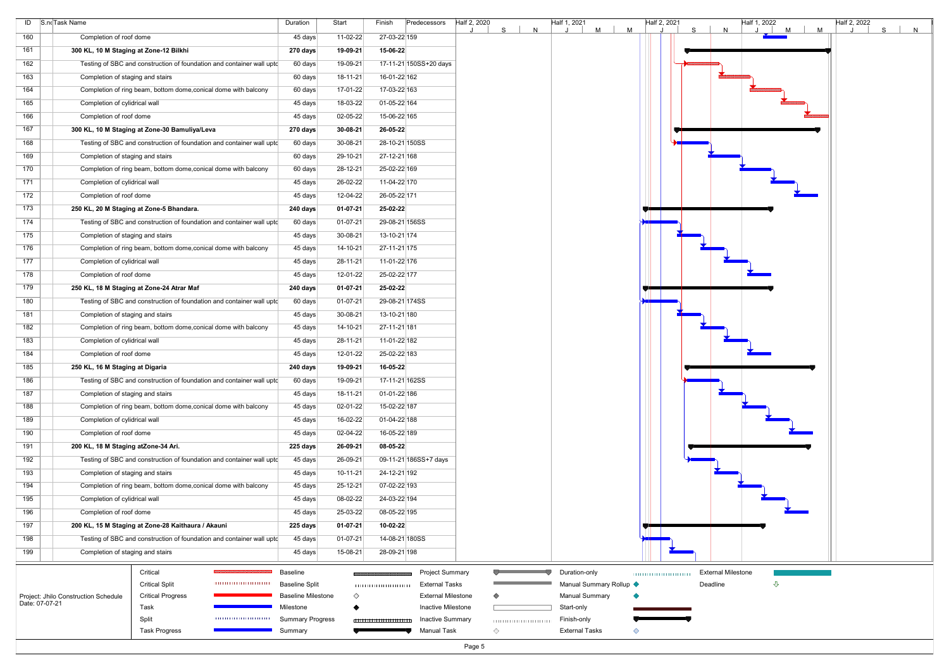| ID S.noTask Name |                                                                       | Duration                                 | Start          | Predecessors<br>Half 2, 2020<br>Finish               | S. | N | Half 1, 2021<br>M                        | M | Half 2, 2021<br>S<br>N                | Half 1, 2022<br>M<br>M | Half 2, 2022<br>S | N |
|------------------|-----------------------------------------------------------------------|------------------------------------------|----------------|------------------------------------------------------|----|---|------------------------------------------|---|---------------------------------------|------------------------|-------------------|---|
| 160              | Completion of roof dome                                               | 45 days                                  | 11-02-22       | 27-03-22 159                                         |    |   |                                          |   |                                       |                        |                   |   |
| 161              | 300 KL, 10 M Staging at Zone-12 Bilkhi                                | 270 days                                 | 19-09-21       | 15-06-22                                             |    |   |                                          |   |                                       |                        |                   |   |
| 162              | Testing of SBC and construction of foundation and container wall uptc | 60 days                                  | 19-09-21       | 17-11-21 150SS+20 days                               |    |   |                                          |   |                                       |                        |                   |   |
| 163              | Completion of staging and stairs                                      | 60 days                                  | $18 - 11 - 21$ | 16-01-22 162                                         |    |   |                                          |   |                                       |                        |                   |   |
| 164              | Completion of ring beam, bottom dome, conical dome with balcony       | 60 days                                  | 17-01-22       | 17-03-22 163                                         |    |   |                                          |   |                                       |                        |                   |   |
| 165              | Completion of cylidrical wall                                         | 45 days                                  | 18-03-22       | 01-05-22 164                                         |    |   |                                          |   |                                       |                        |                   |   |
| 166              | Completion of roof dome                                               | 45 days                                  | 02-05-22       | 15-06-22 165                                         |    |   |                                          |   |                                       |                        |                   |   |
| 167              | 300 KL, 10 M Staging at Zone-30 Bamuliya/Leva                         | 270 days                                 | $30 - 08 - 21$ | 26-05-22                                             |    |   |                                          |   |                                       |                        |                   |   |
| 168              | Testing of SBC and construction of foundation and container wall upto | 60 days                                  | 30-08-21       | 28-10-21 150SS                                       |    |   |                                          |   |                                       |                        |                   |   |
| 169              | Completion of staging and stairs                                      | 60 days                                  | 29-10-21       | 27-12-21 168                                         |    |   |                                          |   |                                       |                        |                   |   |
| 170              | Completion of ring beam, bottom dome, conical dome with balcony       | 60 days                                  | 28-12-21       | 25-02-22 169                                         |    |   |                                          |   |                                       |                        |                   |   |
| 171              | Completion of cylidrical wall                                         | 45 days                                  | 26-02-22       | 11-04-22 170                                         |    |   |                                          |   |                                       |                        |                   |   |
| 172              | Completion of roof dome                                               | 45 days                                  | 12-04-22       | 26-05-22 171                                         |    |   |                                          |   |                                       |                        |                   |   |
| 173              | 250 KL, 20 M Staging at Zone-5 Bhandara.                              | 240 days                                 | $01 - 07 - 21$ | 25-02-22                                             |    |   |                                          |   |                                       |                        |                   |   |
| 174              | Testing of SBC and construction of foundation and container wall upto | 60 days                                  | $01-07-21$     | 29-08-21 156SS                                       |    |   |                                          |   |                                       |                        |                   |   |
| 175              | Completion of staging and stairs                                      | 45 days                                  | 30-08-21       | 13-10-21 174                                         |    |   |                                          |   |                                       |                        |                   |   |
| 176              | Completion of ring beam, bottom dome, conical dome with balcony       | 45 days                                  | $14 - 10 - 21$ | 27-11-21 175                                         |    |   |                                          |   |                                       |                        |                   |   |
| 177              | Completion of cylidrical wall                                         | 45 days                                  | 28-11-21       | 11-01-22 176                                         |    |   |                                          |   |                                       |                        |                   |   |
| 178              | Completion of roof dome                                               | 45 days                                  | 12-01-22       | 25-02-22 177                                         |    |   |                                          |   |                                       |                        |                   |   |
| 179              | 250 KL, 18 M Staging at Zone-24 Atrar Maf                             | 240 days                                 | $01 - 07 - 21$ | 25-02-22                                             |    |   |                                          |   |                                       |                        |                   |   |
| 180              | Testing of SBC and construction of foundation and container wall upto | 60 days                                  | $01-07-21$     | 29-08-21 174SS                                       |    |   |                                          |   |                                       |                        |                   |   |
| 181              | Completion of staging and stairs                                      | 45 days                                  | $30 - 08 - 21$ | 13-10-21 180                                         |    |   |                                          |   |                                       |                        |                   |   |
| 182              | Completion of ring beam, bottom dome, conical dome with balcony       | 45 days                                  | $14 - 10 - 21$ | 27-11-21 181                                         |    |   |                                          |   |                                       |                        |                   |   |
| 183              | Completion of cylidrical wall                                         | 45 days                                  | 28-11-21       | 11-01-22 182                                         |    |   |                                          |   |                                       |                        |                   |   |
| 184              | Completion of roof dome                                               | 45 days                                  | 12-01-22       | 25-02-22 183                                         |    |   |                                          |   |                                       |                        |                   |   |
| 185              | 250 KL, 16 M Staging at Digaria                                       | 240 days                                 | 19-09-21       | 16-05-22                                             |    |   |                                          |   |                                       |                        |                   |   |
| 186              | Testing of SBC and construction of foundation and container wall upto | 60 days                                  | 19-09-21       | 17-11-21 162SS                                       |    |   |                                          |   |                                       |                        |                   |   |
| 187              | Completion of staging and stairs                                      | 45 days                                  | $18 - 11 - 21$ | 01-01-22 186                                         |    |   |                                          |   |                                       |                        |                   |   |
| 188              | Completion of ring beam, bottom dome, conical dome with balcony       | 45 days                                  | $02 - 01 - 22$ | 15-02-22 187                                         |    |   |                                          |   |                                       |                        |                   |   |
| 189              | Completion of cylidrical wall                                         | 45 days                                  | 16-02-22       | 01-04-22 188                                         |    |   |                                          |   |                                       |                        |                   |   |
| 190              | Completion of roof dome                                               | 45 days                                  | 02-04-22       | 16-05-22 189                                         |    |   |                                          |   |                                       |                        |                   |   |
| 191              | 200 KL, 18 M Staging atZone-34 Ari.                                   | 225 days                                 | 26-09-21       | 08-05-22                                             |    |   |                                          |   |                                       |                        |                   |   |
| 192              | Testing of SBC and construction of foundation and container wall upto | 45 days                                  | 26-09-21       | 09-11-21 186SS+7 days                                |    |   |                                          |   |                                       |                        |                   |   |
| 193              | Completion of staging and stairs                                      | 45 days                                  | $10-11-21$     | 24-12-21 192                                         |    |   |                                          |   |                                       |                        |                   |   |
| 194              | Completion of ring beam, bottom dome, conical dome with balcony       | 45 days                                  | 25-12-21       | 07-02-22 193                                         |    |   |                                          |   |                                       |                        |                   |   |
| 195              | Completion of cylidrical wall                                         | 45 days                                  | 08-02-22       | 24-03-22 194                                         |    |   |                                          |   |                                       |                        |                   |   |
| 196              | Completion of roof dome                                               | 45 days                                  | 25-03-22       | 08-05-22 195                                         |    |   |                                          |   |                                       |                        |                   |   |
| 197              | 200 KL, 15 M Staging at Zone-28 Kaithaura / Akauni                    | 225 days                                 | $01 - 07 - 21$ | 10-02-22                                             |    |   |                                          |   |                                       |                        |                   |   |
| 198              | Testing of SBC and construction of foundation and container wall upto | 45 days                                  | $01-07-21$     | 14-08-21 180SS                                       |    |   |                                          |   |                                       |                        |                   |   |
| 199              | Completion of staging and stairs                                      | 45 days                                  | 15-08-21       | 28-09-21 198                                         |    |   |                                          |   |                                       |                        |                   |   |
|                  |                                                                       |                                          |                |                                                      |    |   |                                          |   |                                       |                        |                   |   |
|                  | Critical<br><b>Critical Split</b>                                     | <b>Baseline</b><br><b>Baseline Split</b> |                | <b>Project Summary</b><br><b>External Tasks</b>      |    |   | Duration-only<br>Manual Summary Rollup < |   | <b>External Milestone</b><br>Deadline | ⇩                      |                   |   |
|                  | <b>Critical Progress</b><br>Project: Jhilo Construction Schedule      | <b>Baseline Milestone</b>                | ♦              | <b>External Milestone</b>                            |    |   | <b>Manual Summary</b>                    |   |                                       |                        |                   |   |
| Date: 07-07-21   | Task                                                                  | Milestone                                |                | Inactive Milestone                                   |    |   | Start-only                               |   |                                       |                        |                   |   |
|                  | Split                                                                 | <b>Summary Progress</b>                  |                | <b>Inactive Summary</b><br>,,,,,,,,,,,,,,,,,,,,,,,,, |    |   | Finish-only                              |   |                                       |                        |                   |   |
|                  | <b>Task Progress</b>                                                  | Summary                                  |                | Manual Task                                          | ◇  |   | <b>External Tasks</b>                    | ◇ |                                       |                        |                   |   |
|                  |                                                                       |                                          |                | Page 5                                               |    |   |                                          |   |                                       |                        |                   |   |

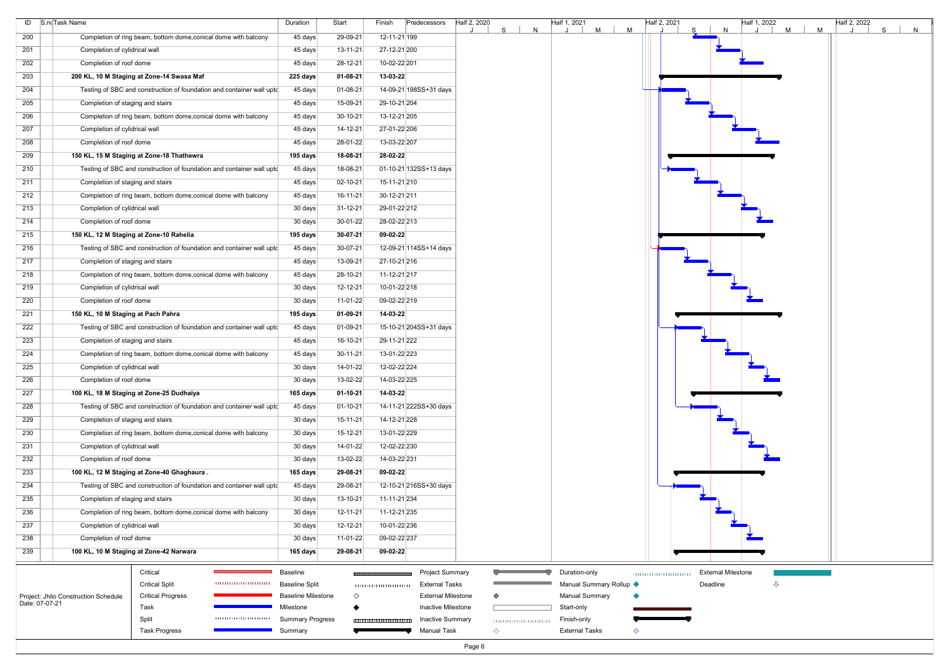| ID S.no Task Name |                                                                          | Duration                               | Start          | Predecessors<br>Finish                               | Half 2, 2020<br>S. | N | Half 1, 2021<br>M                   | Half 2, 2021<br>M | N                         | Half 1, 2022 | M<br>M | Half 2, 2022 | S<br>N |
|-------------------|--------------------------------------------------------------------------|----------------------------------------|----------------|------------------------------------------------------|--------------------|---|-------------------------------------|-------------------|---------------------------|--------------|--------|--------------|--------|
| 200               | Completion of ring beam, bottom dome, conical dome with balcony          | 45 days                                | 29-09-21       | 12-11-21 199                                         |                    |   |                                     |                   |                           |              |        |              |        |
| 201               | Completion of cylidrical wall                                            | 45 days                                | $13 - 11 - 21$ | 27-12-21 200                                         |                    |   |                                     |                   |                           |              |        |              |        |
| 202               | Completion of roof dome                                                  | 45 days                                | 28-12-21       | 10-02-22 201                                         |                    |   |                                     |                   |                           |              |        |              |        |
| 203               | 200 KL, 10 M Staging at Zone-14 Swasa Maf                                | 225 days                               | $01 - 08 - 21$ | 13-03-22                                             |                    |   |                                     |                   |                           |              |        |              |        |
| 204               | Testing of SBC and construction of foundation and container wall upto    | 45 days                                | $01 - 08 - 21$ | 14-09-21 198SS+31 days                               |                    |   |                                     |                   |                           |              |        |              |        |
| 205               | Completion of staging and stairs                                         | 45 days                                | 15-09-21       | 29-10-21 204                                         |                    |   |                                     |                   |                           |              |        |              |        |
| 206               | Completion of ring beam, bottom dome, conical dome with balcony          | 45 days                                | $30-10-21$     | 13-12-21 205                                         |                    |   |                                     |                   |                           |              |        |              |        |
| 207               | Completion of cylidrical wall                                            | 45 days                                | $14 - 12 - 21$ | 27-01-22 206                                         |                    |   |                                     |                   |                           |              |        |              |        |
| 208               | Completion of roof dome                                                  | 45 days                                | 28-01-22       | 13-03-22 207                                         |                    |   |                                     |                   |                           |              |        |              |        |
| 209               | 150 KL, 15 M Staging at Zone-18 Thathewra                                | 195 days                               | 18-08-21       | 28-02-22                                             |                    |   |                                     |                   |                           |              |        |              |        |
| 210               | Testing of SBC and construction of foundation and container wall upto    | 45 days                                | 18-08-21       | 01-10-21 132SS+13 days                               |                    |   |                                     |                   |                           |              |        |              |        |
| 211               | Completion of staging and stairs                                         | 45 days                                | $02 - 10 - 21$ | 15-11-21 210                                         |                    |   |                                     |                   |                           |              |        |              |        |
| 212               | Completion of ring beam, bottom dome, conical dome with balcony          | 45 days                                | $16 - 11 - 21$ | 30-12-21 211                                         |                    |   |                                     |                   |                           |              |        |              |        |
| 213               | Completion of cylidrical wall                                            | 30 days                                | $31 - 12 - 21$ | 29-01-22 212                                         |                    |   |                                     |                   |                           |              |        |              |        |
| 214               | Completion of roof dome                                                  | 30 days                                | 30-01-22       | 28-02-22 213                                         |                    |   |                                     |                   |                           |              |        |              |        |
|                   |                                                                          |                                        |                |                                                      |                    |   |                                     |                   |                           |              |        |              |        |
| 215               | 150 KL, 12 M Staging at Zone-10 Rahelia                                  | 195 days                               | $30-07-21$     | 09-02-22                                             |                    |   |                                     |                   |                           |              |        |              |        |
| 216               | Testing of SBC and construction of foundation and container wall upto    | 45 days                                | 30-07-21       | 12-09-21 114SS+14 days                               |                    |   |                                     |                   |                           |              |        |              |        |
| 217               | Completion of staging and stairs                                         | 45 days                                | 13-09-21       | 27-10-21 216                                         |                    |   |                                     |                   |                           |              |        |              |        |
| 218               | Completion of ring beam, bottom dome, conical dome with balcony          | 45 days                                | 28-10-21       | 11-12-21 217                                         |                    |   |                                     |                   |                           |              |        |              |        |
| 219               | Completion of cylidrical wall                                            | 30 days                                | $12 - 12 - 21$ | 10-01-22 218                                         |                    |   |                                     |                   |                           |              |        |              |        |
| 220               | Completion of roof dome                                                  | 30 days                                | 11-01-22       | 09-02-22 219                                         |                    |   |                                     |                   |                           |              |        |              |        |
| 221               | 150 KL, 10 M Staging at Pach Pahra                                       | 195 days                               | $01 - 09 - 21$ | 14-03-22                                             |                    |   |                                     |                   |                           |              |        |              |        |
| 222               | Testing of SBC and construction of foundation and container wall uptc    | 45 days                                | $01-09-21$     | 15-10-21 204SS+31 days                               |                    |   |                                     |                   |                           |              |        |              |        |
| 223               | Completion of staging and stairs                                         | 45 days                                | 16-10-21       | 29-11-21 222                                         |                    |   |                                     |                   |                           |              |        |              |        |
| 224               | Completion of ring beam, bottom dome, conical dome with balcony          | 45 days                                | $30-11-21$     | 13-01-22 223                                         |                    |   |                                     |                   |                           |              |        |              |        |
| 225               | Completion of cylidrical wall                                            | 30 days                                | 14-01-22       | 12-02-22 224                                         |                    |   |                                     |                   |                           |              |        |              |        |
| 226               | Completion of roof dome                                                  | 30 days                                | 13-02-22       | 14-03-22 225                                         |                    |   |                                     |                   |                           |              |        |              |        |
| 227               | 100 KL, 18 M Staging at Zone-25 Dudhaiya                                 | 165 days                               | $01 - 10 - 21$ | 14-03-22                                             |                    |   |                                     |                   |                           |              |        |              |        |
| 228               | Testing of SBC and construction of foundation and container wall upto    | 45 days                                | $01 - 10 - 21$ | 14-11-21 222SS+30 days                               |                    |   |                                     |                   |                           |              |        |              |        |
| 229               | Completion of staging and stairs                                         | 30 days                                | $15 - 11 - 21$ | 14-12-21 228                                         |                    |   |                                     |                   |                           |              |        |              |        |
| 230               | Completion of ring beam, bottom dome, conical dome with balcony          | 30 days                                | 15-12-21       | 13-01-22 229                                         |                    |   |                                     |                   |                           |              |        |              |        |
| 231               | Completion of cylidrical wall                                            | 30 days                                | 14-01-22       | 12-02-22 230                                         |                    |   |                                     |                   |                           |              |        |              |        |
| 232               | Completion of roof dome                                                  | 30 days                                | 13-02-22       | 14-03-22 231                                         |                    |   |                                     |                   |                           |              |        |              |        |
| 233               | 100 KL, 12 M Staging at Zone-40 Ghaghaura.                               | 165 days                               | 29-08-21       | 09-02-22                                             |                    |   |                                     |                   |                           |              |        |              |        |
| 234               | Testing of SBC and construction of foundation and container wall upto    | 45 days                                | 29-08-21       | 12-10-21 216SS+30 days                               |                    |   |                                     |                   |                           |              |        |              |        |
| 235               | Completion of staging and stairs                                         | 30 days                                | $13 - 10 - 21$ | 11-11-21 234                                         |                    |   |                                     |                   |                           |              |        |              |        |
| 236               | Completion of ring beam, bottom dome, conical dome with balcony          | 30 days                                | $12 - 11 - 21$ | 11-12-21 235                                         |                    |   |                                     |                   |                           |              |        |              |        |
| 237               | Completion of cylidrical wall                                            | 30 days                                | $12 - 12 - 21$ | 10-01-22 236                                         |                    |   |                                     |                   |                           |              |        |              |        |
| 238               | Completion of roof dome                                                  | 30 days                                | 11-01-22       | 09-02-22 237                                         |                    |   |                                     |                   |                           |              |        |              |        |
| 239               | 100 KL, 10 M Staging at Zone-42 Narwara                                  | 165 days                               | 29-08-21       | 09-02-22                                             |                    |   |                                     |                   |                           |              |        |              |        |
|                   |                                                                          |                                        |                |                                                      |                    |   |                                     |                   |                           |              |        |              |        |
|                   | Critical                                                                 | <b>Baseline</b>                        |                | <b>Project Summary</b>                               |                    |   | Duration-only                       |                   | <b>External Milestone</b> |              |        |              |        |
|                   | <b>Critical Split</b><br>,,,,,,,,,,,,,,,,,,,,,,,,,,                      | <b>Baseline Split</b>                  |                | <b>External Tasks</b>                                |                    |   | Manual Summary Rollup <             |                   | Deadline                  | ⇩            |        |              |        |
| Date: 07-07-21    | <b>Critical Progress</b><br>Project: Jhilo Construction Schedule<br>Task | <b>Baseline Milestone</b><br>Milestone | ♦              | <b>External Milestone</b><br>Inactive Milestone      |                    |   | <b>Manual Summary</b><br>Start-only |                   |                           |              |        |              |        |
|                   | Split                                                                    | <b>Summary Progress</b>                |                | <b>Inactive Summary</b><br>,,,,,,,,,,,,,,,,,,,,,,,,, |                    |   | Finish-only                         |                   |                           |              |        |              |        |
|                   | <b>Task Progress</b>                                                     | Summary                                |                | Manual Task                                          | ◇                  |   | <b>External Tasks</b>               | ◇                 |                           |              |        |              |        |
|                   |                                                                          |                                        |                |                                                      | Page 6             |   |                                     |                   |                           |              |        |              |        |

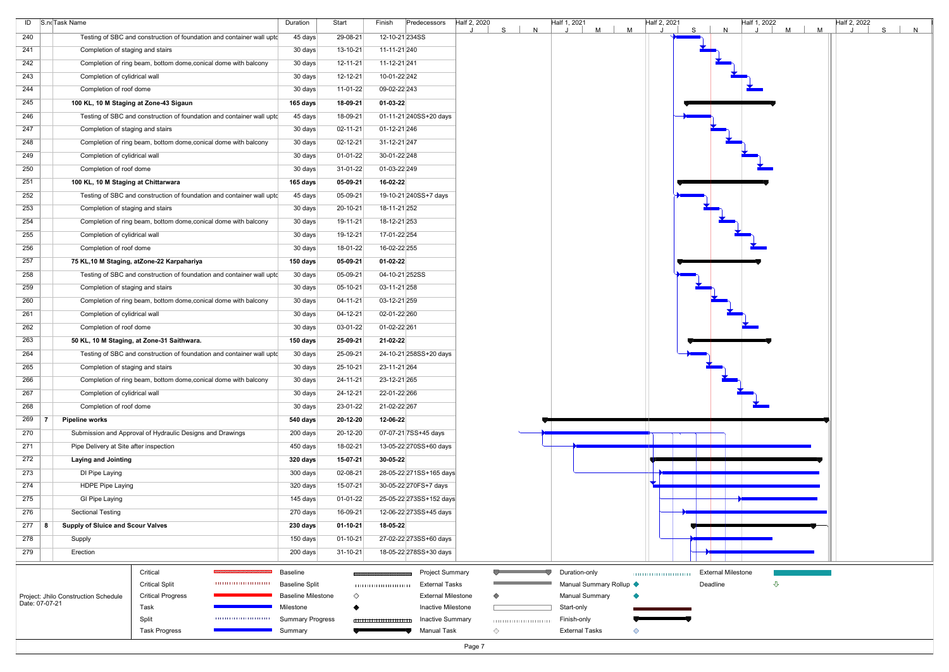| M<br>S<br>29-08-21<br>240<br>Testing of SBC and construction of foundation and container wall upto<br>45 days<br>12-10-21 234SS<br>Completion of staging and stairs<br>30 days<br>13-10-21<br>11-11-21 240<br>241<br>Completion of ring beam, bottom dome, conical dome with balcony<br>30 days<br>$12 - 11 - 21$<br>11-12-21 241<br>242<br>12-12-21<br>243<br>30 days<br>10-01-22 242<br>Completion of cylidrical wall<br>244<br>Completion of roof dome<br>30 days<br>11-01-22<br>09-02-22 243<br>245<br>100 KL, 10 M Staging at Zone-43 Sigaun<br>165 days<br>18-09-21<br>$01-03-22$<br>Testing of SBC and construction of foundation and container wall upto<br>45 days<br>18-09-21<br>01-11-21 240SS+20 days<br>246<br>01-12-21 246<br>247<br>Completion of staging and stairs<br>30 days<br>$02 - 11 - 21$<br>248<br>30 days<br>$02 - 12 - 21$<br>31-12-21 247<br>Completion of ring beam, bottom dome, conical dome with balcony<br>249<br>Completion of cylidrical wall<br>$01 - 01 - 22$<br>30-01-22 248<br>30 days<br>250<br>Completion of roof dome<br>$31-01-22$<br>01-03-22 249<br>30 days<br>251<br>100 KL, 10 M Staging at Chittarwara<br>$05-09-21$<br>16-02-22<br>165 days<br>05-09-21<br>252<br>Testing of SBC and construction of foundation and container wall upto<br>45 days<br>19-10-21 240SS+7 days<br>253<br>Completion of staging and stairs<br>30 days<br>$20 - 10 - 21$<br>18-11-21 252<br>254<br>Completion of ring beam, bottom dome, conical dome with balcony<br>30 days<br>19-11-21<br>18-12-21 253<br>17-01-22 254<br>255<br>Completion of cylidrical wall<br>30 days<br>$19-12-21$<br>256<br>Completion of roof dome<br>30 days<br>18-01-22<br>16-02-22 255<br>257<br>75 KL, 10 M Staging, atZone-22 Karpahariya<br>150 days<br>$05-09-21$<br>$01 - 02 - 22$<br>258<br>05-09-21<br>04-10-21 252SS<br>Testing of SBC and construction of foundation and container wall upto<br>30 days<br>$05-10-21$<br>259<br>Completion of staging and stairs<br>30 days<br>03-11-21 258<br>260<br>04-11-21<br>Completion of ring beam, bottom dome, conical dome with balcony<br>30 days<br>03-12-21 259<br>261<br>30 days<br>$04 - 12 - 21$<br>02-01-22 260<br>Completion of cylidrical wall<br>262<br>Completion of roof dome<br>03-01-22<br>01-02-22 261<br>30 days<br>263<br>50 KL, 10 M Staging, at Zone-31 Saithwara.<br>150 days<br>25-09-21<br>21-02-22<br>264<br>Testing of SBC and construction of foundation and container wall upto<br>30 days<br>25-09-21<br>24-10-21 258SS+20 days<br>265<br>Completion of staging and stairs<br>30 days<br>25-10-21<br>23-11-21 264<br>266<br>24-11-21<br>23-12-21 265<br>Completion of ring beam, bottom dome, conical dome with balcony<br>30 days<br>$24 - 12 - 21$<br>22-01-22 266<br>267<br>Completion of cylidrical wall<br>30 days<br>268<br>Completion of roof dome<br>23-01-22<br>21-02-22 267<br>30 days<br>269<br><b>Pipeline works</b><br>20-12-20<br>12-06-22<br>540 days<br>Submission and Approval of Hydraulic Designs and Drawings<br>20-12-20<br>07-07-21 7SS+45 days<br>270<br>200 days<br>18-02-21<br>271<br>Pipe Delivery at Site after inspection<br>450 days<br>13-05-22 270SS+60 days<br>272<br>15-07-21<br>30-05-22<br><b>Laying and Jointing</b><br>320 days<br>02-08-21<br>273<br>DI Pipe Laying<br>300 days<br>28-05-22 271SS+165 days<br>274<br>15-07-21<br><b>HDPE Pipe Laying</b><br>320 days<br>30-05-22 270FS+7 days<br>275<br><b>GI Pipe Laying</b><br>$01-01-22$<br>25-05-22 273SS+152 days<br>145 days<br><b>Sectional Testing</b><br>16-09-21<br>276<br>270 days<br>12-06-22 273SS+45 days<br>277<br><b>Supply of Sluice and Scour Valves</b><br>$01 - 10 - 21$<br>18-05-22<br>230 days<br>∣ 8.<br>$01 - 10 - 21$<br>27-02-22 273SS+60 days<br>278<br>Supply<br>150 days<br>279<br>Erection<br>200 days<br>$31 - 10 - 21$<br>18-05-22 278SS+30 days<br>Critical<br><b>Project Summary</b><br>Baseline<br>Duration-only<br><b>External Milestone</b><br><b>Critical Split</b><br>,,,,,,,,,,,,,,,,,,,,,,,,,<br>Manual Summary Rollup <<br>Deadline<br><b>Baseline Split</b><br>External Tasks<br>⇩<br>Project: Jhilo Construction Schedule<br><b>Critical Progress</b><br><b>Baseline Milestone</b><br>♦<br><b>External Milestone</b><br><b>Manual Summary</b><br>Date: 07-07-21<br>Task<br>Inactive Milestone<br>Start-only<br>Milestone<br>Split<br><b>Summary Progress</b><br><b>Inactive Summary</b><br>Finish-only<br>1111111111111111111111111<br><b>Manual Task</b><br><b>Task Progress</b><br>◇<br><b>External Tasks</b><br>Summary<br>◇<br>Page 7 | ID S.no Task Name | Duration | Start | Predecessors<br>Finish | Half 2, 2020<br>S | Half 1, 2021<br>M | Half 2, 2021<br>M | N | Half 1, 2022<br>M | Half 2, 2022<br>S |   |
|-------------------------------------------------------------------------------------------------------------------------------------------------------------------------------------------------------------------------------------------------------------------------------------------------------------------------------------------------------------------------------------------------------------------------------------------------------------------------------------------------------------------------------------------------------------------------------------------------------------------------------------------------------------------------------------------------------------------------------------------------------------------------------------------------------------------------------------------------------------------------------------------------------------------------------------------------------------------------------------------------------------------------------------------------------------------------------------------------------------------------------------------------------------------------------------------------------------------------------------------------------------------------------------------------------------------------------------------------------------------------------------------------------------------------------------------------------------------------------------------------------------------------------------------------------------------------------------------------------------------------------------------------------------------------------------------------------------------------------------------------------------------------------------------------------------------------------------------------------------------------------------------------------------------------------------------------------------------------------------------------------------------------------------------------------------------------------------------------------------------------------------------------------------------------------------------------------------------------------------------------------------------------------------------------------------------------------------------------------------------------------------------------------------------------------------------------------------------------------------------------------------------------------------------------------------------------------------------------------------------------------------------------------------------------------------------------------------------------------------------------------------------------------------------------------------------------------------------------------------------------------------------------------------------------------------------------------------------------------------------------------------------------------------------------------------------------------------------------------------------------------------------------------------------------------------------------------------------------------------------------------------------------------------------------------------------------------------------------------------------------------------------------------------------------------------------------------------------------------------------------------------------------------------------------------------------------------------------------------------------------------------------------------------------------------------------------------------------------------------------------------------------------------------------------------------------------------------------------------------------------------------------------------------------------------------------------------------------------------------------------------------------------------------------------------------------------------------------------------------------------------------------------------------------------------------------------------------------------------------------------------------------------------------------------------------------------------------------------------------------------------------------------------------------------------------------------------------------------------------------------------------------------------------------------------------------|-------------------|----------|-------|------------------------|-------------------|-------------------|-------------------|---|-------------------|-------------------|---|
|                                                                                                                                                                                                                                                                                                                                                                                                                                                                                                                                                                                                                                                                                                                                                                                                                                                                                                                                                                                                                                                                                                                                                                                                                                                                                                                                                                                                                                                                                                                                                                                                                                                                                                                                                                                                                                                                                                                                                                                                                                                                                                                                                                                                                                                                                                                                                                                                                                                                                                                                                                                                                                                                                                                                                                                                                                                                                                                                                                                                                                                                                                                                                                                                                                                                                                                                                                                                                                                                                                                                                                                                                                                                                                                                                                                                                                                                                                                                                                                                                                                                                                                                                                                                                                                                                                                                                                                                                                                                                                                                                                   |                   |          |       |                        | N                 |                   |                   |   |                   |                   | N |
|                                                                                                                                                                                                                                                                                                                                                                                                                                                                                                                                                                                                                                                                                                                                                                                                                                                                                                                                                                                                                                                                                                                                                                                                                                                                                                                                                                                                                                                                                                                                                                                                                                                                                                                                                                                                                                                                                                                                                                                                                                                                                                                                                                                                                                                                                                                                                                                                                                                                                                                                                                                                                                                                                                                                                                                                                                                                                                                                                                                                                                                                                                                                                                                                                                                                                                                                                                                                                                                                                                                                                                                                                                                                                                                                                                                                                                                                                                                                                                                                                                                                                                                                                                                                                                                                                                                                                                                                                                                                                                                                                                   |                   |          |       |                        |                   |                   |                   |   |                   |                   |   |
|                                                                                                                                                                                                                                                                                                                                                                                                                                                                                                                                                                                                                                                                                                                                                                                                                                                                                                                                                                                                                                                                                                                                                                                                                                                                                                                                                                                                                                                                                                                                                                                                                                                                                                                                                                                                                                                                                                                                                                                                                                                                                                                                                                                                                                                                                                                                                                                                                                                                                                                                                                                                                                                                                                                                                                                                                                                                                                                                                                                                                                                                                                                                                                                                                                                                                                                                                                                                                                                                                                                                                                                                                                                                                                                                                                                                                                                                                                                                                                                                                                                                                                                                                                                                                                                                                                                                                                                                                                                                                                                                                                   |                   |          |       |                        |                   |                   |                   |   |                   |                   |   |
|                                                                                                                                                                                                                                                                                                                                                                                                                                                                                                                                                                                                                                                                                                                                                                                                                                                                                                                                                                                                                                                                                                                                                                                                                                                                                                                                                                                                                                                                                                                                                                                                                                                                                                                                                                                                                                                                                                                                                                                                                                                                                                                                                                                                                                                                                                                                                                                                                                                                                                                                                                                                                                                                                                                                                                                                                                                                                                                                                                                                                                                                                                                                                                                                                                                                                                                                                                                                                                                                                                                                                                                                                                                                                                                                                                                                                                                                                                                                                                                                                                                                                                                                                                                                                                                                                                                                                                                                                                                                                                                                                                   |                   |          |       |                        |                   |                   |                   |   |                   |                   |   |
|                                                                                                                                                                                                                                                                                                                                                                                                                                                                                                                                                                                                                                                                                                                                                                                                                                                                                                                                                                                                                                                                                                                                                                                                                                                                                                                                                                                                                                                                                                                                                                                                                                                                                                                                                                                                                                                                                                                                                                                                                                                                                                                                                                                                                                                                                                                                                                                                                                                                                                                                                                                                                                                                                                                                                                                                                                                                                                                                                                                                                                                                                                                                                                                                                                                                                                                                                                                                                                                                                                                                                                                                                                                                                                                                                                                                                                                                                                                                                                                                                                                                                                                                                                                                                                                                                                                                                                                                                                                                                                                                                                   |                   |          |       |                        |                   |                   |                   |   |                   |                   |   |
|                                                                                                                                                                                                                                                                                                                                                                                                                                                                                                                                                                                                                                                                                                                                                                                                                                                                                                                                                                                                                                                                                                                                                                                                                                                                                                                                                                                                                                                                                                                                                                                                                                                                                                                                                                                                                                                                                                                                                                                                                                                                                                                                                                                                                                                                                                                                                                                                                                                                                                                                                                                                                                                                                                                                                                                                                                                                                                                                                                                                                                                                                                                                                                                                                                                                                                                                                                                                                                                                                                                                                                                                                                                                                                                                                                                                                                                                                                                                                                                                                                                                                                                                                                                                                                                                                                                                                                                                                                                                                                                                                                   |                   |          |       |                        |                   |                   |                   |   |                   |                   |   |
|                                                                                                                                                                                                                                                                                                                                                                                                                                                                                                                                                                                                                                                                                                                                                                                                                                                                                                                                                                                                                                                                                                                                                                                                                                                                                                                                                                                                                                                                                                                                                                                                                                                                                                                                                                                                                                                                                                                                                                                                                                                                                                                                                                                                                                                                                                                                                                                                                                                                                                                                                                                                                                                                                                                                                                                                                                                                                                                                                                                                                                                                                                                                                                                                                                                                                                                                                                                                                                                                                                                                                                                                                                                                                                                                                                                                                                                                                                                                                                                                                                                                                                                                                                                                                                                                                                                                                                                                                                                                                                                                                                   |                   |          |       |                        |                   |                   |                   |   |                   |                   |   |
|                                                                                                                                                                                                                                                                                                                                                                                                                                                                                                                                                                                                                                                                                                                                                                                                                                                                                                                                                                                                                                                                                                                                                                                                                                                                                                                                                                                                                                                                                                                                                                                                                                                                                                                                                                                                                                                                                                                                                                                                                                                                                                                                                                                                                                                                                                                                                                                                                                                                                                                                                                                                                                                                                                                                                                                                                                                                                                                                                                                                                                                                                                                                                                                                                                                                                                                                                                                                                                                                                                                                                                                                                                                                                                                                                                                                                                                                                                                                                                                                                                                                                                                                                                                                                                                                                                                                                                                                                                                                                                                                                                   |                   |          |       |                        |                   |                   |                   |   |                   |                   |   |
|                                                                                                                                                                                                                                                                                                                                                                                                                                                                                                                                                                                                                                                                                                                                                                                                                                                                                                                                                                                                                                                                                                                                                                                                                                                                                                                                                                                                                                                                                                                                                                                                                                                                                                                                                                                                                                                                                                                                                                                                                                                                                                                                                                                                                                                                                                                                                                                                                                                                                                                                                                                                                                                                                                                                                                                                                                                                                                                                                                                                                                                                                                                                                                                                                                                                                                                                                                                                                                                                                                                                                                                                                                                                                                                                                                                                                                                                                                                                                                                                                                                                                                                                                                                                                                                                                                                                                                                                                                                                                                                                                                   |                   |          |       |                        |                   |                   |                   |   |                   |                   |   |
|                                                                                                                                                                                                                                                                                                                                                                                                                                                                                                                                                                                                                                                                                                                                                                                                                                                                                                                                                                                                                                                                                                                                                                                                                                                                                                                                                                                                                                                                                                                                                                                                                                                                                                                                                                                                                                                                                                                                                                                                                                                                                                                                                                                                                                                                                                                                                                                                                                                                                                                                                                                                                                                                                                                                                                                                                                                                                                                                                                                                                                                                                                                                                                                                                                                                                                                                                                                                                                                                                                                                                                                                                                                                                                                                                                                                                                                                                                                                                                                                                                                                                                                                                                                                                                                                                                                                                                                                                                                                                                                                                                   |                   |          |       |                        |                   |                   |                   |   |                   |                   |   |
|                                                                                                                                                                                                                                                                                                                                                                                                                                                                                                                                                                                                                                                                                                                                                                                                                                                                                                                                                                                                                                                                                                                                                                                                                                                                                                                                                                                                                                                                                                                                                                                                                                                                                                                                                                                                                                                                                                                                                                                                                                                                                                                                                                                                                                                                                                                                                                                                                                                                                                                                                                                                                                                                                                                                                                                                                                                                                                                                                                                                                                                                                                                                                                                                                                                                                                                                                                                                                                                                                                                                                                                                                                                                                                                                                                                                                                                                                                                                                                                                                                                                                                                                                                                                                                                                                                                                                                                                                                                                                                                                                                   |                   |          |       |                        |                   |                   |                   |   |                   |                   |   |
|                                                                                                                                                                                                                                                                                                                                                                                                                                                                                                                                                                                                                                                                                                                                                                                                                                                                                                                                                                                                                                                                                                                                                                                                                                                                                                                                                                                                                                                                                                                                                                                                                                                                                                                                                                                                                                                                                                                                                                                                                                                                                                                                                                                                                                                                                                                                                                                                                                                                                                                                                                                                                                                                                                                                                                                                                                                                                                                                                                                                                                                                                                                                                                                                                                                                                                                                                                                                                                                                                                                                                                                                                                                                                                                                                                                                                                                                                                                                                                                                                                                                                                                                                                                                                                                                                                                                                                                                                                                                                                                                                                   |                   |          |       |                        |                   |                   |                   |   |                   |                   |   |
|                                                                                                                                                                                                                                                                                                                                                                                                                                                                                                                                                                                                                                                                                                                                                                                                                                                                                                                                                                                                                                                                                                                                                                                                                                                                                                                                                                                                                                                                                                                                                                                                                                                                                                                                                                                                                                                                                                                                                                                                                                                                                                                                                                                                                                                                                                                                                                                                                                                                                                                                                                                                                                                                                                                                                                                                                                                                                                                                                                                                                                                                                                                                                                                                                                                                                                                                                                                                                                                                                                                                                                                                                                                                                                                                                                                                                                                                                                                                                                                                                                                                                                                                                                                                                                                                                                                                                                                                                                                                                                                                                                   |                   |          |       |                        |                   |                   |                   |   |                   |                   |   |
|                                                                                                                                                                                                                                                                                                                                                                                                                                                                                                                                                                                                                                                                                                                                                                                                                                                                                                                                                                                                                                                                                                                                                                                                                                                                                                                                                                                                                                                                                                                                                                                                                                                                                                                                                                                                                                                                                                                                                                                                                                                                                                                                                                                                                                                                                                                                                                                                                                                                                                                                                                                                                                                                                                                                                                                                                                                                                                                                                                                                                                                                                                                                                                                                                                                                                                                                                                                                                                                                                                                                                                                                                                                                                                                                                                                                                                                                                                                                                                                                                                                                                                                                                                                                                                                                                                                                                                                                                                                                                                                                                                   |                   |          |       |                        |                   |                   |                   |   |                   |                   |   |
|                                                                                                                                                                                                                                                                                                                                                                                                                                                                                                                                                                                                                                                                                                                                                                                                                                                                                                                                                                                                                                                                                                                                                                                                                                                                                                                                                                                                                                                                                                                                                                                                                                                                                                                                                                                                                                                                                                                                                                                                                                                                                                                                                                                                                                                                                                                                                                                                                                                                                                                                                                                                                                                                                                                                                                                                                                                                                                                                                                                                                                                                                                                                                                                                                                                                                                                                                                                                                                                                                                                                                                                                                                                                                                                                                                                                                                                                                                                                                                                                                                                                                                                                                                                                                                                                                                                                                                                                                                                                                                                                                                   |                   |          |       |                        |                   |                   |                   |   |                   |                   |   |
|                                                                                                                                                                                                                                                                                                                                                                                                                                                                                                                                                                                                                                                                                                                                                                                                                                                                                                                                                                                                                                                                                                                                                                                                                                                                                                                                                                                                                                                                                                                                                                                                                                                                                                                                                                                                                                                                                                                                                                                                                                                                                                                                                                                                                                                                                                                                                                                                                                                                                                                                                                                                                                                                                                                                                                                                                                                                                                                                                                                                                                                                                                                                                                                                                                                                                                                                                                                                                                                                                                                                                                                                                                                                                                                                                                                                                                                                                                                                                                                                                                                                                                                                                                                                                                                                                                                                                                                                                                                                                                                                                                   |                   |          |       |                        |                   |                   |                   |   |                   |                   |   |
|                                                                                                                                                                                                                                                                                                                                                                                                                                                                                                                                                                                                                                                                                                                                                                                                                                                                                                                                                                                                                                                                                                                                                                                                                                                                                                                                                                                                                                                                                                                                                                                                                                                                                                                                                                                                                                                                                                                                                                                                                                                                                                                                                                                                                                                                                                                                                                                                                                                                                                                                                                                                                                                                                                                                                                                                                                                                                                                                                                                                                                                                                                                                                                                                                                                                                                                                                                                                                                                                                                                                                                                                                                                                                                                                                                                                                                                                                                                                                                                                                                                                                                                                                                                                                                                                                                                                                                                                                                                                                                                                                                   |                   |          |       |                        |                   |                   |                   |   |                   |                   |   |
|                                                                                                                                                                                                                                                                                                                                                                                                                                                                                                                                                                                                                                                                                                                                                                                                                                                                                                                                                                                                                                                                                                                                                                                                                                                                                                                                                                                                                                                                                                                                                                                                                                                                                                                                                                                                                                                                                                                                                                                                                                                                                                                                                                                                                                                                                                                                                                                                                                                                                                                                                                                                                                                                                                                                                                                                                                                                                                                                                                                                                                                                                                                                                                                                                                                                                                                                                                                                                                                                                                                                                                                                                                                                                                                                                                                                                                                                                                                                                                                                                                                                                                                                                                                                                                                                                                                                                                                                                                                                                                                                                                   |                   |          |       |                        |                   |                   |                   |   |                   |                   |   |
|                                                                                                                                                                                                                                                                                                                                                                                                                                                                                                                                                                                                                                                                                                                                                                                                                                                                                                                                                                                                                                                                                                                                                                                                                                                                                                                                                                                                                                                                                                                                                                                                                                                                                                                                                                                                                                                                                                                                                                                                                                                                                                                                                                                                                                                                                                                                                                                                                                                                                                                                                                                                                                                                                                                                                                                                                                                                                                                                                                                                                                                                                                                                                                                                                                                                                                                                                                                                                                                                                                                                                                                                                                                                                                                                                                                                                                                                                                                                                                                                                                                                                                                                                                                                                                                                                                                                                                                                                                                                                                                                                                   |                   |          |       |                        |                   |                   |                   |   |                   |                   |   |
|                                                                                                                                                                                                                                                                                                                                                                                                                                                                                                                                                                                                                                                                                                                                                                                                                                                                                                                                                                                                                                                                                                                                                                                                                                                                                                                                                                                                                                                                                                                                                                                                                                                                                                                                                                                                                                                                                                                                                                                                                                                                                                                                                                                                                                                                                                                                                                                                                                                                                                                                                                                                                                                                                                                                                                                                                                                                                                                                                                                                                                                                                                                                                                                                                                                                                                                                                                                                                                                                                                                                                                                                                                                                                                                                                                                                                                                                                                                                                                                                                                                                                                                                                                                                                                                                                                                                                                                                                                                                                                                                                                   |                   |          |       |                        |                   |                   |                   |   |                   |                   |   |
|                                                                                                                                                                                                                                                                                                                                                                                                                                                                                                                                                                                                                                                                                                                                                                                                                                                                                                                                                                                                                                                                                                                                                                                                                                                                                                                                                                                                                                                                                                                                                                                                                                                                                                                                                                                                                                                                                                                                                                                                                                                                                                                                                                                                                                                                                                                                                                                                                                                                                                                                                                                                                                                                                                                                                                                                                                                                                                                                                                                                                                                                                                                                                                                                                                                                                                                                                                                                                                                                                                                                                                                                                                                                                                                                                                                                                                                                                                                                                                                                                                                                                                                                                                                                                                                                                                                                                                                                                                                                                                                                                                   |                   |          |       |                        |                   |                   |                   |   |                   |                   |   |
|                                                                                                                                                                                                                                                                                                                                                                                                                                                                                                                                                                                                                                                                                                                                                                                                                                                                                                                                                                                                                                                                                                                                                                                                                                                                                                                                                                                                                                                                                                                                                                                                                                                                                                                                                                                                                                                                                                                                                                                                                                                                                                                                                                                                                                                                                                                                                                                                                                                                                                                                                                                                                                                                                                                                                                                                                                                                                                                                                                                                                                                                                                                                                                                                                                                                                                                                                                                                                                                                                                                                                                                                                                                                                                                                                                                                                                                                                                                                                                                                                                                                                                                                                                                                                                                                                                                                                                                                                                                                                                                                                                   |                   |          |       |                        |                   |                   |                   |   |                   |                   |   |
|                                                                                                                                                                                                                                                                                                                                                                                                                                                                                                                                                                                                                                                                                                                                                                                                                                                                                                                                                                                                                                                                                                                                                                                                                                                                                                                                                                                                                                                                                                                                                                                                                                                                                                                                                                                                                                                                                                                                                                                                                                                                                                                                                                                                                                                                                                                                                                                                                                                                                                                                                                                                                                                                                                                                                                                                                                                                                                                                                                                                                                                                                                                                                                                                                                                                                                                                                                                                                                                                                                                                                                                                                                                                                                                                                                                                                                                                                                                                                                                                                                                                                                                                                                                                                                                                                                                                                                                                                                                                                                                                                                   |                   |          |       |                        |                   |                   |                   |   |                   |                   |   |
|                                                                                                                                                                                                                                                                                                                                                                                                                                                                                                                                                                                                                                                                                                                                                                                                                                                                                                                                                                                                                                                                                                                                                                                                                                                                                                                                                                                                                                                                                                                                                                                                                                                                                                                                                                                                                                                                                                                                                                                                                                                                                                                                                                                                                                                                                                                                                                                                                                                                                                                                                                                                                                                                                                                                                                                                                                                                                                                                                                                                                                                                                                                                                                                                                                                                                                                                                                                                                                                                                                                                                                                                                                                                                                                                                                                                                                                                                                                                                                                                                                                                                                                                                                                                                                                                                                                                                                                                                                                                                                                                                                   |                   |          |       |                        |                   |                   |                   |   |                   |                   |   |
|                                                                                                                                                                                                                                                                                                                                                                                                                                                                                                                                                                                                                                                                                                                                                                                                                                                                                                                                                                                                                                                                                                                                                                                                                                                                                                                                                                                                                                                                                                                                                                                                                                                                                                                                                                                                                                                                                                                                                                                                                                                                                                                                                                                                                                                                                                                                                                                                                                                                                                                                                                                                                                                                                                                                                                                                                                                                                                                                                                                                                                                                                                                                                                                                                                                                                                                                                                                                                                                                                                                                                                                                                                                                                                                                                                                                                                                                                                                                                                                                                                                                                                                                                                                                                                                                                                                                                                                                                                                                                                                                                                   |                   |          |       |                        |                   |                   |                   |   |                   |                   |   |
|                                                                                                                                                                                                                                                                                                                                                                                                                                                                                                                                                                                                                                                                                                                                                                                                                                                                                                                                                                                                                                                                                                                                                                                                                                                                                                                                                                                                                                                                                                                                                                                                                                                                                                                                                                                                                                                                                                                                                                                                                                                                                                                                                                                                                                                                                                                                                                                                                                                                                                                                                                                                                                                                                                                                                                                                                                                                                                                                                                                                                                                                                                                                                                                                                                                                                                                                                                                                                                                                                                                                                                                                                                                                                                                                                                                                                                                                                                                                                                                                                                                                                                                                                                                                                                                                                                                                                                                                                                                                                                                                                                   |                   |          |       |                        |                   |                   |                   |   |                   |                   |   |
|                                                                                                                                                                                                                                                                                                                                                                                                                                                                                                                                                                                                                                                                                                                                                                                                                                                                                                                                                                                                                                                                                                                                                                                                                                                                                                                                                                                                                                                                                                                                                                                                                                                                                                                                                                                                                                                                                                                                                                                                                                                                                                                                                                                                                                                                                                                                                                                                                                                                                                                                                                                                                                                                                                                                                                                                                                                                                                                                                                                                                                                                                                                                                                                                                                                                                                                                                                                                                                                                                                                                                                                                                                                                                                                                                                                                                                                                                                                                                                                                                                                                                                                                                                                                                                                                                                                                                                                                                                                                                                                                                                   |                   |          |       |                        |                   |                   |                   |   |                   |                   |   |
|                                                                                                                                                                                                                                                                                                                                                                                                                                                                                                                                                                                                                                                                                                                                                                                                                                                                                                                                                                                                                                                                                                                                                                                                                                                                                                                                                                                                                                                                                                                                                                                                                                                                                                                                                                                                                                                                                                                                                                                                                                                                                                                                                                                                                                                                                                                                                                                                                                                                                                                                                                                                                                                                                                                                                                                                                                                                                                                                                                                                                                                                                                                                                                                                                                                                                                                                                                                                                                                                                                                                                                                                                                                                                                                                                                                                                                                                                                                                                                                                                                                                                                                                                                                                                                                                                                                                                                                                                                                                                                                                                                   |                   |          |       |                        |                   |                   |                   |   |                   |                   |   |
|                                                                                                                                                                                                                                                                                                                                                                                                                                                                                                                                                                                                                                                                                                                                                                                                                                                                                                                                                                                                                                                                                                                                                                                                                                                                                                                                                                                                                                                                                                                                                                                                                                                                                                                                                                                                                                                                                                                                                                                                                                                                                                                                                                                                                                                                                                                                                                                                                                                                                                                                                                                                                                                                                                                                                                                                                                                                                                                                                                                                                                                                                                                                                                                                                                                                                                                                                                                                                                                                                                                                                                                                                                                                                                                                                                                                                                                                                                                                                                                                                                                                                                                                                                                                                                                                                                                                                                                                                                                                                                                                                                   |                   |          |       |                        |                   |                   |                   |   |                   |                   |   |
|                                                                                                                                                                                                                                                                                                                                                                                                                                                                                                                                                                                                                                                                                                                                                                                                                                                                                                                                                                                                                                                                                                                                                                                                                                                                                                                                                                                                                                                                                                                                                                                                                                                                                                                                                                                                                                                                                                                                                                                                                                                                                                                                                                                                                                                                                                                                                                                                                                                                                                                                                                                                                                                                                                                                                                                                                                                                                                                                                                                                                                                                                                                                                                                                                                                                                                                                                                                                                                                                                                                                                                                                                                                                                                                                                                                                                                                                                                                                                                                                                                                                                                                                                                                                                                                                                                                                                                                                                                                                                                                                                                   |                   |          |       |                        |                   |                   |                   |   |                   |                   |   |
|                                                                                                                                                                                                                                                                                                                                                                                                                                                                                                                                                                                                                                                                                                                                                                                                                                                                                                                                                                                                                                                                                                                                                                                                                                                                                                                                                                                                                                                                                                                                                                                                                                                                                                                                                                                                                                                                                                                                                                                                                                                                                                                                                                                                                                                                                                                                                                                                                                                                                                                                                                                                                                                                                                                                                                                                                                                                                                                                                                                                                                                                                                                                                                                                                                                                                                                                                                                                                                                                                                                                                                                                                                                                                                                                                                                                                                                                                                                                                                                                                                                                                                                                                                                                                                                                                                                                                                                                                                                                                                                                                                   |                   |          |       |                        |                   |                   |                   |   |                   |                   |   |
|                                                                                                                                                                                                                                                                                                                                                                                                                                                                                                                                                                                                                                                                                                                                                                                                                                                                                                                                                                                                                                                                                                                                                                                                                                                                                                                                                                                                                                                                                                                                                                                                                                                                                                                                                                                                                                                                                                                                                                                                                                                                                                                                                                                                                                                                                                                                                                                                                                                                                                                                                                                                                                                                                                                                                                                                                                                                                                                                                                                                                                                                                                                                                                                                                                                                                                                                                                                                                                                                                                                                                                                                                                                                                                                                                                                                                                                                                                                                                                                                                                                                                                                                                                                                                                                                                                                                                                                                                                                                                                                                                                   |                   |          |       |                        |                   |                   |                   |   |                   |                   |   |
|                                                                                                                                                                                                                                                                                                                                                                                                                                                                                                                                                                                                                                                                                                                                                                                                                                                                                                                                                                                                                                                                                                                                                                                                                                                                                                                                                                                                                                                                                                                                                                                                                                                                                                                                                                                                                                                                                                                                                                                                                                                                                                                                                                                                                                                                                                                                                                                                                                                                                                                                                                                                                                                                                                                                                                                                                                                                                                                                                                                                                                                                                                                                                                                                                                                                                                                                                                                                                                                                                                                                                                                                                                                                                                                                                                                                                                                                                                                                                                                                                                                                                                                                                                                                                                                                                                                                                                                                                                                                                                                                                                   |                   |          |       |                        |                   |                   |                   |   |                   |                   |   |
|                                                                                                                                                                                                                                                                                                                                                                                                                                                                                                                                                                                                                                                                                                                                                                                                                                                                                                                                                                                                                                                                                                                                                                                                                                                                                                                                                                                                                                                                                                                                                                                                                                                                                                                                                                                                                                                                                                                                                                                                                                                                                                                                                                                                                                                                                                                                                                                                                                                                                                                                                                                                                                                                                                                                                                                                                                                                                                                                                                                                                                                                                                                                                                                                                                                                                                                                                                                                                                                                                                                                                                                                                                                                                                                                                                                                                                                                                                                                                                                                                                                                                                                                                                                                                                                                                                                                                                                                                                                                                                                                                                   |                   |          |       |                        |                   |                   |                   |   |                   |                   |   |
|                                                                                                                                                                                                                                                                                                                                                                                                                                                                                                                                                                                                                                                                                                                                                                                                                                                                                                                                                                                                                                                                                                                                                                                                                                                                                                                                                                                                                                                                                                                                                                                                                                                                                                                                                                                                                                                                                                                                                                                                                                                                                                                                                                                                                                                                                                                                                                                                                                                                                                                                                                                                                                                                                                                                                                                                                                                                                                                                                                                                                                                                                                                                                                                                                                                                                                                                                                                                                                                                                                                                                                                                                                                                                                                                                                                                                                                                                                                                                                                                                                                                                                                                                                                                                                                                                                                                                                                                                                                                                                                                                                   |                   |          |       |                        |                   |                   |                   |   |                   |                   |   |
|                                                                                                                                                                                                                                                                                                                                                                                                                                                                                                                                                                                                                                                                                                                                                                                                                                                                                                                                                                                                                                                                                                                                                                                                                                                                                                                                                                                                                                                                                                                                                                                                                                                                                                                                                                                                                                                                                                                                                                                                                                                                                                                                                                                                                                                                                                                                                                                                                                                                                                                                                                                                                                                                                                                                                                                                                                                                                                                                                                                                                                                                                                                                                                                                                                                                                                                                                                                                                                                                                                                                                                                                                                                                                                                                                                                                                                                                                                                                                                                                                                                                                                                                                                                                                                                                                                                                                                                                                                                                                                                                                                   |                   |          |       |                        |                   |                   |                   |   |                   |                   |   |
|                                                                                                                                                                                                                                                                                                                                                                                                                                                                                                                                                                                                                                                                                                                                                                                                                                                                                                                                                                                                                                                                                                                                                                                                                                                                                                                                                                                                                                                                                                                                                                                                                                                                                                                                                                                                                                                                                                                                                                                                                                                                                                                                                                                                                                                                                                                                                                                                                                                                                                                                                                                                                                                                                                                                                                                                                                                                                                                                                                                                                                                                                                                                                                                                                                                                                                                                                                                                                                                                                                                                                                                                                                                                                                                                                                                                                                                                                                                                                                                                                                                                                                                                                                                                                                                                                                                                                                                                                                                                                                                                                                   |                   |          |       |                        |                   |                   |                   |   |                   |                   |   |
|                                                                                                                                                                                                                                                                                                                                                                                                                                                                                                                                                                                                                                                                                                                                                                                                                                                                                                                                                                                                                                                                                                                                                                                                                                                                                                                                                                                                                                                                                                                                                                                                                                                                                                                                                                                                                                                                                                                                                                                                                                                                                                                                                                                                                                                                                                                                                                                                                                                                                                                                                                                                                                                                                                                                                                                                                                                                                                                                                                                                                                                                                                                                                                                                                                                                                                                                                                                                                                                                                                                                                                                                                                                                                                                                                                                                                                                                                                                                                                                                                                                                                                                                                                                                                                                                                                                                                                                                                                                                                                                                                                   |                   |          |       |                        |                   |                   |                   |   |                   |                   |   |
|                                                                                                                                                                                                                                                                                                                                                                                                                                                                                                                                                                                                                                                                                                                                                                                                                                                                                                                                                                                                                                                                                                                                                                                                                                                                                                                                                                                                                                                                                                                                                                                                                                                                                                                                                                                                                                                                                                                                                                                                                                                                                                                                                                                                                                                                                                                                                                                                                                                                                                                                                                                                                                                                                                                                                                                                                                                                                                                                                                                                                                                                                                                                                                                                                                                                                                                                                                                                                                                                                                                                                                                                                                                                                                                                                                                                                                                                                                                                                                                                                                                                                                                                                                                                                                                                                                                                                                                                                                                                                                                                                                   |                   |          |       |                        |                   |                   |                   |   |                   |                   |   |
|                                                                                                                                                                                                                                                                                                                                                                                                                                                                                                                                                                                                                                                                                                                                                                                                                                                                                                                                                                                                                                                                                                                                                                                                                                                                                                                                                                                                                                                                                                                                                                                                                                                                                                                                                                                                                                                                                                                                                                                                                                                                                                                                                                                                                                                                                                                                                                                                                                                                                                                                                                                                                                                                                                                                                                                                                                                                                                                                                                                                                                                                                                                                                                                                                                                                                                                                                                                                                                                                                                                                                                                                                                                                                                                                                                                                                                                                                                                                                                                                                                                                                                                                                                                                                                                                                                                                                                                                                                                                                                                                                                   |                   |          |       |                        |                   |                   |                   |   |                   |                   |   |
|                                                                                                                                                                                                                                                                                                                                                                                                                                                                                                                                                                                                                                                                                                                                                                                                                                                                                                                                                                                                                                                                                                                                                                                                                                                                                                                                                                                                                                                                                                                                                                                                                                                                                                                                                                                                                                                                                                                                                                                                                                                                                                                                                                                                                                                                                                                                                                                                                                                                                                                                                                                                                                                                                                                                                                                                                                                                                                                                                                                                                                                                                                                                                                                                                                                                                                                                                                                                                                                                                                                                                                                                                                                                                                                                                                                                                                                                                                                                                                                                                                                                                                                                                                                                                                                                                                                                                                                                                                                                                                                                                                   |                   |          |       |                        |                   |                   |                   |   |                   |                   |   |
|                                                                                                                                                                                                                                                                                                                                                                                                                                                                                                                                                                                                                                                                                                                                                                                                                                                                                                                                                                                                                                                                                                                                                                                                                                                                                                                                                                                                                                                                                                                                                                                                                                                                                                                                                                                                                                                                                                                                                                                                                                                                                                                                                                                                                                                                                                                                                                                                                                                                                                                                                                                                                                                                                                                                                                                                                                                                                                                                                                                                                                                                                                                                                                                                                                                                                                                                                                                                                                                                                                                                                                                                                                                                                                                                                                                                                                                                                                                                                                                                                                                                                                                                                                                                                                                                                                                                                                                                                                                                                                                                                                   |                   |          |       |                        |                   |                   |                   |   |                   |                   |   |
|                                                                                                                                                                                                                                                                                                                                                                                                                                                                                                                                                                                                                                                                                                                                                                                                                                                                                                                                                                                                                                                                                                                                                                                                                                                                                                                                                                                                                                                                                                                                                                                                                                                                                                                                                                                                                                                                                                                                                                                                                                                                                                                                                                                                                                                                                                                                                                                                                                                                                                                                                                                                                                                                                                                                                                                                                                                                                                                                                                                                                                                                                                                                                                                                                                                                                                                                                                                                                                                                                                                                                                                                                                                                                                                                                                                                                                                                                                                                                                                                                                                                                                                                                                                                                                                                                                                                                                                                                                                                                                                                                                   |                   |          |       |                        |                   |                   |                   |   |                   |                   |   |
|                                                                                                                                                                                                                                                                                                                                                                                                                                                                                                                                                                                                                                                                                                                                                                                                                                                                                                                                                                                                                                                                                                                                                                                                                                                                                                                                                                                                                                                                                                                                                                                                                                                                                                                                                                                                                                                                                                                                                                                                                                                                                                                                                                                                                                                                                                                                                                                                                                                                                                                                                                                                                                                                                                                                                                                                                                                                                                                                                                                                                                                                                                                                                                                                                                                                                                                                                                                                                                                                                                                                                                                                                                                                                                                                                                                                                                                                                                                                                                                                                                                                                                                                                                                                                                                                                                                                                                                                                                                                                                                                                                   |                   |          |       |                        |                   |                   |                   |   |                   |                   |   |
|                                                                                                                                                                                                                                                                                                                                                                                                                                                                                                                                                                                                                                                                                                                                                                                                                                                                                                                                                                                                                                                                                                                                                                                                                                                                                                                                                                                                                                                                                                                                                                                                                                                                                                                                                                                                                                                                                                                                                                                                                                                                                                                                                                                                                                                                                                                                                                                                                                                                                                                                                                                                                                                                                                                                                                                                                                                                                                                                                                                                                                                                                                                                                                                                                                                                                                                                                                                                                                                                                                                                                                                                                                                                                                                                                                                                                                                                                                                                                                                                                                                                                                                                                                                                                                                                                                                                                                                                                                                                                                                                                                   |                   |          |       |                        |                   |                   |                   |   |                   |                   |   |
|                                                                                                                                                                                                                                                                                                                                                                                                                                                                                                                                                                                                                                                                                                                                                                                                                                                                                                                                                                                                                                                                                                                                                                                                                                                                                                                                                                                                                                                                                                                                                                                                                                                                                                                                                                                                                                                                                                                                                                                                                                                                                                                                                                                                                                                                                                                                                                                                                                                                                                                                                                                                                                                                                                                                                                                                                                                                                                                                                                                                                                                                                                                                                                                                                                                                                                                                                                                                                                                                                                                                                                                                                                                                                                                                                                                                                                                                                                                                                                                                                                                                                                                                                                                                                                                                                                                                                                                                                                                                                                                                                                   |                   |          |       |                        |                   |                   |                   |   |                   |                   |   |
|                                                                                                                                                                                                                                                                                                                                                                                                                                                                                                                                                                                                                                                                                                                                                                                                                                                                                                                                                                                                                                                                                                                                                                                                                                                                                                                                                                                                                                                                                                                                                                                                                                                                                                                                                                                                                                                                                                                                                                                                                                                                                                                                                                                                                                                                                                                                                                                                                                                                                                                                                                                                                                                                                                                                                                                                                                                                                                                                                                                                                                                                                                                                                                                                                                                                                                                                                                                                                                                                                                                                                                                                                                                                                                                                                                                                                                                                                                                                                                                                                                                                                                                                                                                                                                                                                                                                                                                                                                                                                                                                                                   |                   |          |       |                        |                   |                   |                   |   |                   |                   |   |

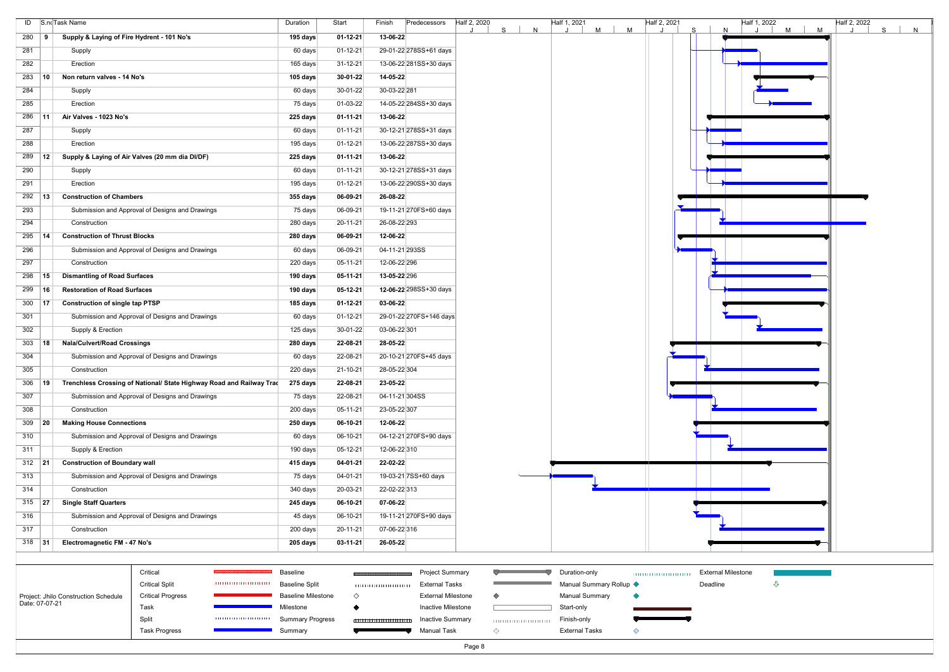|                 |            | ID S.no Task Name                                                    | Duration | Start          | Finish       | Predecessors            | Half 2, 2020 |    | Half 1, 2021<br>N |   |   | Half 2, 2021 |   | Half 1, 2022 | $M$ | Half 2, 2022 |   |   |
|-----------------|------------|----------------------------------------------------------------------|----------|----------------|--------------|-------------------------|--------------|----|-------------------|---|---|--------------|---|--------------|-----|--------------|---|---|
| 280             | - 9        | Supply & Laying of Fire Hydrent - 101 No's                           | 195 days | $01 - 12 - 21$ | 13-06-22     |                         |              | S. |                   | M | M |              | S | N            | M   |              | S | N |
| 281             |            | Supply                                                               | 60 days  | $01 - 12 - 21$ |              | 29-01-22 278SS+61 days  |              |    |                   |   |   |              |   |              |     |              |   |   |
| 282             |            | Erection                                                             | 165 days | 31-12-21       |              | 13-06-22 281SS+30 days  |              |    |                   |   |   |              |   |              |     |              |   |   |
| 283             | $\vert$ 10 | Non return valves - 14 No's                                          | 105 days | $30 - 01 - 22$ | 14-05-22     |                         |              |    |                   |   |   |              |   |              |     |              |   |   |
| 284             |            | Supply                                                               | 60 days  | 30-01-22       | 30-03-22 281 |                         |              |    |                   |   |   |              |   |              |     |              |   |   |
| 285             |            | Erection                                                             | 75 days  | 01-03-22       |              | 14-05-22 284SS+30 days  |              |    |                   |   |   |              |   |              |     |              |   |   |
| 286             | ∣ 11       | Air Valves - 1023 No's                                               | 225 days | 01-11-21       | 13-06-22     |                         |              |    |                   |   |   |              |   |              |     |              |   |   |
| 287             |            | Supply                                                               | 60 days  | $01 - 11 - 21$ |              | 30-12-21 278SS+31 days  |              |    |                   |   |   |              |   |              |     |              |   |   |
| 288             |            | Erection                                                             | 195 days | 01-12-21       |              | 13-06-22 287SS+30 days  |              |    |                   |   |   |              |   |              |     |              |   |   |
| 289             | 12         | Supply & Laying of Air Valves (20 mm dia DI/DF)                      | 225 days | $01 - 11 - 21$ | 13-06-22     |                         |              |    |                   |   |   |              |   |              |     |              |   |   |
| 290             |            | Supply                                                               | 60 days  | $01 - 11 - 21$ |              | 30-12-21 278SS+31 days  |              |    |                   |   |   |              |   |              |     |              |   |   |
| 291             |            | Erection                                                             | 195 days | 01-12-21       |              | 13-06-22 290SS+30 days  |              |    |                   |   |   |              |   |              |     |              |   |   |
| $292$ 13        |            | <b>Construction of Chambers</b>                                      | 355 days | 06-09-21       | 26-08-22     |                         |              |    |                   |   |   |              |   |              |     |              |   |   |
| 293             |            | Submission and Approval of Designs and Drawings                      | 75 days  | 06-09-21       |              | 19-11-21 270 FS+60 days |              |    |                   |   |   |              |   |              |     |              |   |   |
| 294             |            | Construction                                                         | 280 days | 20-11-21       | 26-08-22 293 |                         |              |    |                   |   |   |              |   |              |     |              |   |   |
| 295             | 14         | <b>Construction of Thrust Blocks</b>                                 | 280 days | 06-09-21       | 12-06-22     |                         |              |    |                   |   |   |              |   |              |     |              |   |   |
| 296             |            | Submission and Approval of Designs and Drawings                      | 60 days  | 06-09-21       |              | 04-11-21 293SS          |              |    |                   |   |   |              |   |              |     |              |   |   |
| 297             |            | Construction                                                         | 220 days | 05-11-21       | 12-06-22 296 |                         |              |    |                   |   |   |              |   |              |     |              |   |   |
| 298             | 15         | <b>Dismantling of Road Surfaces</b>                                  | 190 days | 05-11-21       | 13-05-22 296 |                         |              |    |                   |   |   |              |   |              |     |              |   |   |
| 299             | ∣ 16       | <b>Restoration of Road Surfaces</b>                                  | 190 days | 05-12-21       |              | 12-06-22 298SS+30 days  |              |    |                   |   |   |              |   |              |     |              |   |   |
| 300             | ∣ 17       | <b>Construction of single tap PTSP</b>                               | 185 days | 01-12-21       | 03-06-22     |                         |              |    |                   |   |   |              |   |              |     |              |   |   |
| 301             |            | Submission and Approval of Designs and Drawings                      | 60 days  | 01-12-21       |              | 29-01-22 270FS+146 days |              |    |                   |   |   |              |   |              |     |              |   |   |
| 302             |            | Supply & Erection                                                    | 125 days | $30-01-22$     | 03-06-22 301 |                         |              |    |                   |   |   |              |   |              |     |              |   |   |
| 303             | ∣ 18       | <b>Nala/Culvert/Road Crossings</b>                                   | 280 days | 22-08-21       | 28-05-22     |                         |              |    |                   |   |   |              |   |              |     |              |   |   |
| 304             |            | Submission and Approval of Designs and Drawings                      | 60 days  | 22-08-21       |              | 20-10-21 270FS+45 days  |              |    |                   |   |   |              |   |              |     |              |   |   |
| 305             |            | Construction                                                         | 220 days | 21-10-21       | 28-05-22 304 |                         |              |    |                   |   |   |              |   |              |     |              |   |   |
| 306             | 19         | Trenchless Crossing of National/ State Highway Road and Railway Trad | 275 days | 22-08-21       | 23-05-22     |                         |              |    |                   |   |   |              |   |              |     |              |   |   |
| 307             |            | Submission and Approval of Designs and Drawings                      | 75 days  | 22-08-21       |              | 04-11-21 304SS          |              |    |                   |   |   |              |   |              |     |              |   |   |
| 308             |            | Construction                                                         | 200 days | $05-11-21$     | 23-05-22 307 |                         |              |    |                   |   |   |              |   |              |     |              |   |   |
| 309             | $\vert$ 20 | <b>Making House Connections</b>                                      | 250 days | 06-10-21       | 12-06-22     |                         |              |    |                   |   |   |              |   |              |     |              |   |   |
| 310             |            | Submission and Approval of Designs and Drawings                      | 60 days  | 06-10-21       |              | 04-12-21 270FS+90 days  |              |    |                   |   |   |              |   |              |     |              |   |   |
| 311             |            | Supply & Erection                                                    | 190 days | 05-12-21       | 12-06-22 310 |                         |              |    |                   |   |   |              |   |              |     |              |   |   |
| 312   <b>21</b> |            | <b>Construction of Boundary wall</b>                                 | 415 days | 04-01-21       | 22-02-22     |                         |              |    |                   |   |   |              |   |              |     |              |   |   |
| 313             |            | Submission and Approval of Designs and Drawings                      | 75 days  | 04-01-21       |              | 19-03-21 7SS+60 days    |              |    |                   |   |   |              |   |              |     |              |   |   |
| 314             |            | Construction                                                         | 340 days | 20-03-21       | 22-02-22 313 |                         |              |    |                   |   |   |              |   |              |     |              |   |   |
| 315   <b>27</b> |            | <b>Single Staff Quarters</b>                                         | 245 days | 06-10-21       | 07-06-22     |                         |              |    |                   |   |   |              |   |              |     |              |   |   |
| 316             |            | Submission and Approval of Designs and Drawings                      | 45 days  | 06-10-21       |              | 19-11-21 270FS+90 days  |              |    |                   |   |   |              |   |              |     |              |   |   |
| 317             |            | Construction                                                         | 200 days | 20-11-21       | 07-06-22 316 |                         |              |    |                   |   |   |              |   |              |     |              |   |   |
| $318$ 31        |            | Electromagnetic FM - 47 No's                                         | 205 days | $03-11-21$     | 26-05-22     |                         |              |    |                   |   |   |              |   |              |     |              |   |   |

| Deadli |
|--------|
|        |
|        |
|        |
|        |
|        |